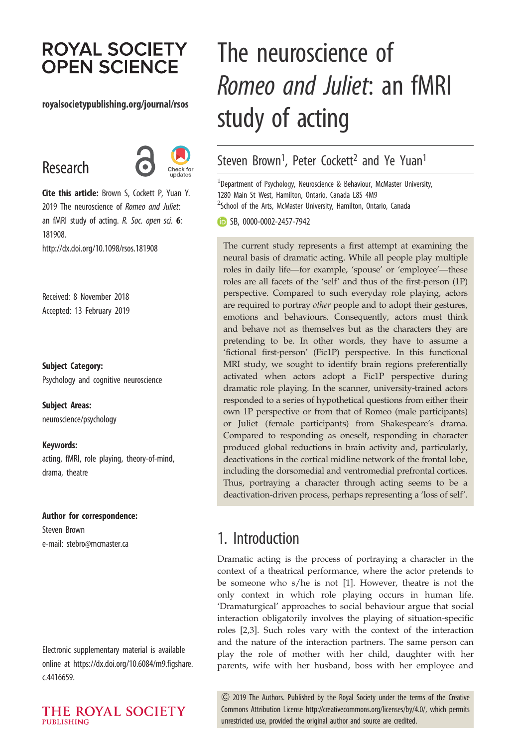# **ROYAL SOCIETY OPEN SCIENCE**

#### royalsocietypublishing.org/journal/rsos

# Research



Cite this article: Brown S, Cockett P, Yuan Y. 2019 The neuroscience of Romeo and Juliet: an fMRI study of acting. R. Soc. open sci. 6: 181908.

http://dx.doi.org/10.1098/rsos.181908

Received: 8 November 2018 Accepted: 13 February 2019

Subject Category:

Psychology and cognitive neuroscience

Subject Areas: neuroscience/psychology

Keywords: acting, fMRI, role playing, theory-of-mind, drama, theatre

#### Author for correspondence:

Steven Brown e-mail: [stebro@mcmaster.ca](mailto:stebro@mcmaster.ca)

Electronic supplementary material is available online at [https://dx.doi.org/10.6084/m9.figshare.](https://dx.doi.org/10.6084/m9.figshare.c.4416659) [c.4416659.](https://dx.doi.org/10.6084/m9.figshare.c.4416659)

THE ROYAL SOCIETY **PUBLISHING** 

# The neuroscience of Romeo and Juliet: an fMRI study of acting

## Steven Brown<sup>1</sup>, Peter Cockett<sup>2</sup> and Ye Yuan<sup>1</sup>

 $^1$ Department of Psychology, Neuroscience & Behaviour, McMaster University, 1280 Main St West, Hamilton, Ontario, Canada L8S 4M9 <sup>2</sup>School of the Arts, McMaster University, Hamilton, Ontario, Canada

**SB, [0000-0002-2457-7942](http://orcid.org/0000-0002-2457-7942)** 

The current study represents a first attempt at examining the neural basis of dramatic acting. While all people play multiple roles in daily life—for example, 'spouse' or 'employee'—these roles are all facets of the 'self' and thus of the first-person (1P) perspective. Compared to such everyday role playing, actors are required to portray other people and to adopt their gestures, emotions and behaviours. Consequently, actors must think and behave not as themselves but as the characters they are pretending to be. In other words, they have to assume a 'fictional first-person' (Fic1P) perspective. In this functional MRI study, we sought to identify brain regions preferentially activated when actors adopt a Fic1P perspective during dramatic role playing. In the scanner, university-trained actors responded to a series of hypothetical questions from either their own 1P perspective or from that of Romeo (male participants) or Juliet (female participants) from Shakespeare's drama. Compared to responding as oneself, responding in character produced global reductions in brain activity and, particularly, deactivations in the cortical midline network of the frontal lobe, including the dorsomedial and ventromedial prefrontal cortices. Thus, portraying a character through acting seems to be a deactivation-driven process, perhaps representing a 'loss of self'.

### 1. Introduction

Dramatic acting is the process of portraying a character in the context of a theatrical performance, where the actor pretends to be someone who s/he is not [[1](#page-17-0)]. However, theatre is not the only context in which role playing occurs in human life. 'Dramaturgical' approaches to social behaviour argue that social interaction obligatorily involves the playing of situation-specific roles [[2](#page-17-0),[3](#page-17-0)]. Such roles vary with the context of the interaction and the nature of the interaction partners. The same person can play the role of mother with her child, daughter with her parents, wife with her husband, boss with her employee and

& 2019 The Authors. Published by the Royal Society under the terms of the Creative Commons Attribution License [http://creativecommons.org/licenses/by/4.0/, which permits](http://creativecommons.org/licenses/by/4.0/) [unrestricted use, provided the original author and source are credited.](http://creativecommons.org/licenses/by/4.0/)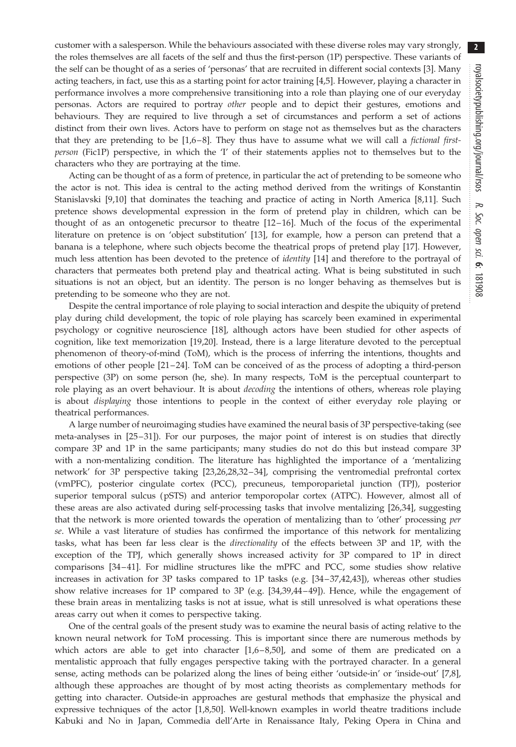customer with a salesperson. While the behaviours associated with these diverse roles may vary strongly, the roles themselves are all facets of the self and thus the first-person (1P) perspective. These variants of the self can be thought of as a series of 'personas' that are recruited in different social contexts [\[3\]](#page-17-0). Many acting teachers, in fact, use this as a starting point for actor training [[4](#page-17-0),[5](#page-17-0)]. However, playing a character in performance involves a more comprehensive transitioning into a role than playing one of our everyday personas. Actors are required to portray other people and to depict their gestures, emotions and behaviours. They are required to live through a set of circumstances and perform a set of actions distinct from their own lives. Actors have to perform on stage not as themselves but as the characters that they are pretending to be  $[1,6-8]$  $[1,6-8]$  $[1,6-8]$  $[1,6-8]$ . They thus have to assume what we will call a *fictional first*person (Fic1P) perspective, in which the 'I' of their statements applies not to themselves but to the characters who they are portraying at the time.

Acting can be thought of as a form of pretence, in particular the act of pretending to be someone who the actor is not. This idea is central to the acting method derived from the writings of Konstantin Stanislavski [\[9,10](#page-17-0)] that dominates the teaching and practice of acting in North America [[8,11](#page-17-0)]. Such pretence shows developmental expression in the form of pretend play in children, which can be thought of as an ontogenetic precursor to theatre [[12](#page-17-0)–[16](#page-18-0)]. Much of the focus of the experimental literature on pretence is on 'object substitution' [[13\]](#page-17-0), for example, how a person can pretend that a banana is a telephone, where such objects become the theatrical props of pretend play [[17\]](#page-18-0). However, much less attention has been devoted to the pretence of *identity* [\[14](#page-18-0)] and therefore to the portrayal of characters that permeates both pretend play and theatrical acting. What is being substituted in such situations is not an object, but an identity. The person is no longer behaving as themselves but is pretending to be someone who they are not.

Despite the central importance of role playing to social interaction and despite the ubiquity of pretend play during child development, the topic of role playing has scarcely been examined in experimental psychology or cognitive neuroscience [[18\]](#page-18-0), although actors have been studied for other aspects of cognition, like text memorization [\[19](#page-18-0),[20\]](#page-18-0). Instead, there is a large literature devoted to the perceptual phenomenon of theory-of-mind (ToM), which is the process of inferring the intentions, thoughts and emotions of other people [[21](#page-18-0)–[24\]](#page-18-0). ToM can be conceived of as the process of adopting a third-person perspective (3P) on some person (he, she). In many respects, ToM is the perceptual counterpart to role playing as an overt behaviour. It is about *decoding* the intentions of others, whereas role playing is about displaying those intentions to people in the context of either everyday role playing or theatrical performances.

A large number of neuroimaging studies have examined the neural basis of 3P perspective-taking (see meta-analyses in [\[25](#page-18-0) –[31\]](#page-18-0)). For our purposes, the major point of interest is on studies that directly compare 3P and 1P in the same participants; many studies do not do this but instead compare 3P with a non-mentalizing condition. The literature has highlighted the importance of a 'mentalizing network' for 3P perspective taking [\[23,26](#page-18-0),[28,32](#page-18-0) –[34](#page-18-0)], comprising the ventromedial prefrontal cortex (vmPFC), posterior cingulate cortex (PCC), precuneus, temporoparietal junction (TPJ), posterior superior temporal sulcus (pSTS) and anterior temporopolar cortex (ATPC). However, almost all of these areas are also activated during self-processing tasks that involve mentalizing [\[26](#page-18-0),[34\]](#page-18-0), suggesting that the network is more oriented towards the operation of mentalizing than to 'other' processing per se. While a vast literature of studies has confirmed the importance of this network for mentalizing tasks, what has been far less clear is the *directionality* of the effects between 3P and 1P, with the exception of the TPJ, which generally shows increased activity for 3P compared to 1P in direct comparisons [\[34](#page-18-0) –[41](#page-18-0)]. For midline structures like the mPFC and PCC, some studies show relative increases in activation for 3P tasks compared to 1P tasks (e.g. [[34](#page-18-0)–[37,42,43](#page-18-0)]), whereas other studies show relative increases for 1P compared to 3P (e.g. [\[34](#page-18-0),[39,44](#page-18-0) –[49](#page-18-0)]). Hence, while the engagement of these brain areas in mentalizing tasks is not at issue, what is still unresolved is what operations these areas carry out when it comes to perspective taking.

One of the central goals of the present study was to examine the neural basis of acting relative to the known neural network for ToM processing. This is important since there are numerous methods by which actors are able to get into character  $[1,6-8,50]$  $[1,6-8,50]$  $[1,6-8,50]$  $[1,6-8,50]$  $[1,6-8,50]$ , and some of them are predicated on a mentalistic approach that fully engages perspective taking with the portrayed character. In a general sense, acting methods can be polarized along the lines of being either 'outside-in' or 'inside-out' [\[7,8](#page-17-0)], although these approaches are thought of by most acting theorists as complementary methods for getting into character. Outside-in approaches are gestural methods that emphasize the physical and expressive techniques of the actor [[1,8,](#page-17-0)[50](#page-18-0)]. Well-known examples in world theatre traditions include Kabuki and No in Japan, Commedia dell'Arte in Renaissance Italy, Peking Opera in China and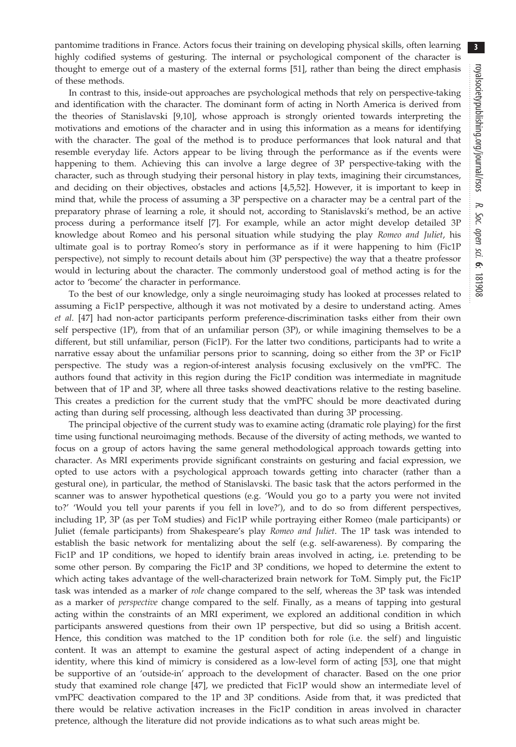pantomime traditions in France. Actors focus their training on developing physical skills, often learning highly codified systems of gesturing. The internal or psychological component of the character is thought to emerge out of a mastery of the external forms [[51](#page-18-0)], rather than being the direct emphasis of these methods.

In contrast to this, inside-out approaches are psychological methods that rely on perspective-taking and identification with the character. The dominant form of acting in North America is derived from the theories of Stanislavski [\[9,10](#page-17-0)], whose approach is strongly oriented towards interpreting the motivations and emotions of the character and in using this information as a means for identifying with the character. The goal of the method is to produce performances that look natural and that resemble everyday life. Actors appear to be living through the performance as if the events were happening to them. Achieving this can involve a large degree of 3P perspective-taking with the character, such as through studying their personal history in play texts, imagining their circumstances, and deciding on their objectives, obstacles and actions [[4,5,](#page-17-0)[52](#page-18-0)]. However, it is important to keep in mind that, while the process of assuming a 3P perspective on a character may be a central part of the preparatory phrase of learning a role, it should not, according to Stanislavski's method, be an active process during a performance itself [[7](#page-17-0)]. For example, while an actor might develop detailed 3P knowledge about Romeo and his personal situation while studying the play Romeo and Juliet, his ultimate goal is to portray Romeo's story in performance as if it were happening to him (Fic1P perspective), not simply to recount details about him (3P perspective) the way that a theatre professor would in lecturing about the character. The commonly understood goal of method acting is for the actor to 'become' the character in performance.

To the best of our knowledge, only a single neuroimaging study has looked at processes related to assuming a Fic1P perspective, although it was not motivated by a desire to understand acting. Ames et al. [\[47](#page-18-0)] had non-actor participants perform preference-discrimination tasks either from their own self perspective (1P), from that of an unfamiliar person (3P), or while imagining themselves to be a different, but still unfamiliar, person (Fic1P). For the latter two conditions, participants had to write a narrative essay about the unfamiliar persons prior to scanning, doing so either from the 3P or Fic1P perspective. The study was a region-of-interest analysis focusing exclusively on the vmPFC. The authors found that activity in this region during the Fic1P condition was intermediate in magnitude between that of 1P and 3P, where all three tasks showed deactivations relative to the resting baseline. This creates a prediction for the current study that the vmPFC should be more deactivated during acting than during self processing, although less deactivated than during 3P processing.

The principal objective of the current study was to examine acting (dramatic role playing) for the first time using functional neuroimaging methods. Because of the diversity of acting methods, we wanted to focus on a group of actors having the same general methodological approach towards getting into character. As MRI experiments provide significant constraints on gesturing and facial expression, we opted to use actors with a psychological approach towards getting into character (rather than a gestural one), in particular, the method of Stanislavski. The basic task that the actors performed in the scanner was to answer hypothetical questions (e.g. 'Would you go to a party you were not invited to?' 'Would you tell your parents if you fell in love?'), and to do so from different perspectives, including 1P, 3P (as per ToM studies) and Fic1P while portraying either Romeo (male participants) or Juliet (female participants) from Shakespeare's play Romeo and Juliet. The 1P task was intended to establish the basic network for mentalizing about the self (e.g. self-awareness). By comparing the Fic1P and 1P conditions, we hoped to identify brain areas involved in acting, i.e. pretending to be some other person. By comparing the Fic1P and 3P conditions, we hoped to determine the extent to which acting takes advantage of the well-characterized brain network for ToM. Simply put, the Fic1P task was intended as a marker of role change compared to the self, whereas the 3P task was intended as a marker of perspective change compared to the self. Finally, as a means of tapping into gestural acting within the constraints of an MRI experiment, we explored an additional condition in which participants answered questions from their own 1P perspective, but did so using a British accent. Hence, this condition was matched to the 1P condition both for role (i.e. the self) and linguistic content. It was an attempt to examine the gestural aspect of acting independent of a change in identity, where this kind of mimicry is considered as a low-level form of acting [\[53](#page-18-0)], one that might be supportive of an 'outside-in' approach to the development of character. Based on the one prior study that examined role change [\[47](#page-18-0)], we predicted that Fic1P would show an intermediate level of vmPFC deactivation compared to the 1P and 3P conditions. Aside from that, it was predicted that there would be relative activation increases in the Fic1P condition in areas involved in character pretence, although the literature did not provide indications as to what such areas might be.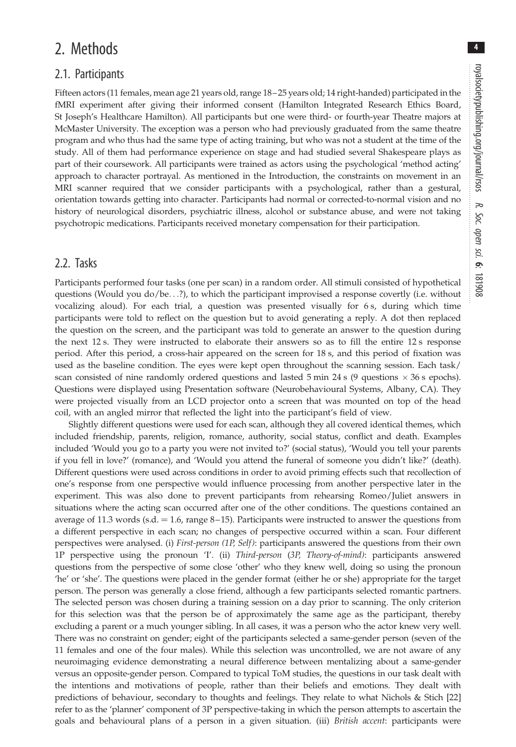4

## 2. Methods

#### 2.1. Participants

Fifteen actors (11 females, mean age 21 years old, range 18–25 years old; 14 right-handed) participated in the fMRI experiment after giving their informed consent (Hamilton Integrated Research Ethics Board, St Joseph's Healthcare Hamilton). All participants but one were third- or fourth-year Theatre majors at McMaster University. The exception was a person who had previously graduated from the same theatre program and who thus had the same type of acting training, but who was not a student at the time of the study. All of them had performance experience on stage and had studied several Shakespeare plays as part of their coursework. All participants were trained as actors using the psychological 'method acting' approach to character portrayal. As mentioned in the Introduction, the constraints on movement in an MRI scanner required that we consider participants with a psychological, rather than a gestural, orientation towards getting into character. Participants had normal or corrected-to-normal vision and no history of neurological disorders, psychiatric illness, alcohol or substance abuse, and were not taking psychotropic medications. Participants received monetary compensation for their participation.

#### 2.2. Tasks

Participants performed four tasks (one per scan) in a random order. All stimuli consisted of hypothetical questions (Would you do/be...?), to which the participant improvised a response covertly (i.e. without vocalizing aloud). For each trial, a question was presented visually for 6 s, during which time participants were told to reflect on the question but to avoid generating a reply. A dot then replaced the question on the screen, and the participant was told to generate an answer to the question during the next 12 s. They were instructed to elaborate their answers so as to fill the entire 12 s response period. After this period, a cross-hair appeared on the screen for 18 s, and this period of fixation was used as the baseline condition. The eyes were kept open throughout the scanning session. Each task/ scan consisted of nine randomly ordered questions and lasted 5 min 24 s (9 questions  $\times$  36 s epochs). Questions were displayed using Presentation software (Neurobehavioural Systems, Albany, CA). They were projected visually from an LCD projector onto a screen that was mounted on top of the head coil, with an angled mirror that reflected the light into the participant's field of view.

Slightly different questions were used for each scan, although they all covered identical themes, which included friendship, parents, religion, romance, authority, social status, conflict and death. Examples included 'Would you go to a party you were not invited to?' (social status), 'Would you tell your parents if you fell in love?' (romance), and 'Would you attend the funeral of someone you didn't like?' (death). Different questions were used across conditions in order to avoid priming effects such that recollection of one's response from one perspective would influence processing from another perspective later in the experiment. This was also done to prevent participants from rehearsing Romeo/Juliet answers in situations where the acting scan occurred after one of the other conditions. The questions contained an average of 11.3 words (s.d.  $= 1.6$ , range 8–15). Participants were instructed to answer the questions from a different perspective in each scan; no changes of perspective occurred within a scan. Four different perspectives were analysed. (i) First-person (1P, Self): participants answered the questions from their own 1P perspective using the pronoun 'I'. (ii) Third-person (3P, Theory-of-mind): participants answered questions from the perspective of some close 'other' who they knew well, doing so using the pronoun 'he' or 'she'. The questions were placed in the gender format (either he or she) appropriate for the target person. The person was generally a close friend, although a few participants selected romantic partners. The selected person was chosen during a training session on a day prior to scanning. The only criterion for this selection was that the person be of approximately the same age as the participant, thereby excluding a parent or a much younger sibling. In all cases, it was a person who the actor knew very well. There was no constraint on gender; eight of the participants selected a same-gender person (seven of the 11 females and one of the four males). While this selection was uncontrolled, we are not aware of any neuroimaging evidence demonstrating a neural difference between mentalizing about a same-gender versus an opposite-gender person. Compared to typical ToM studies, the questions in our task dealt with the intentions and motivations of people, rather than their beliefs and emotions. They dealt with predictions of behaviour, secondary to thoughts and feelings. They relate to what Nichols & Stich [[22\]](#page-18-0) refer to as the 'planner' component of 3P perspective-taking in which the person attempts to ascertain the goals and behavioural plans of a person in a given situation. (iii) British accent: participants were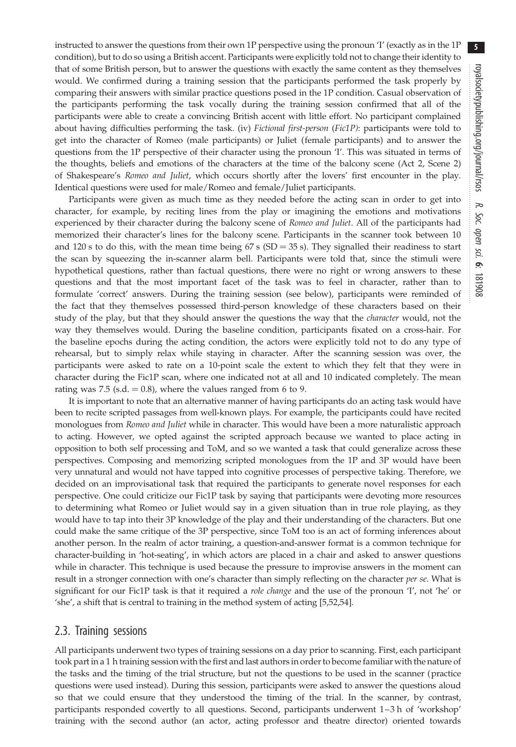instructed to answer the questions from their own 1P perspective using the pronoun 'I' (exactly as in the 1P condition), but to do so using a British accent. Participants were explicitly told not to change their identity to that of some British person, but to answer the questions with exactly the same content as they themselves would. We confirmed during a training session that the participants performed the task properly by comparing their answers with similar practice questions posed in the 1P condition. Casual observation of the participants performing the task vocally during the training session confirmed that all of the participants were able to create a convincing British accent with little effort. No participant complained about having difficulties performing the task. (iv) Fictional first-person (Fic1P): participants were told to get into the character of Romeo (male participants) or Juliet (female participants) and to answer the questions from the 1P perspective of their character using the pronoun 'I'. This was situated in terms of the thoughts, beliefs and emotions of the characters at the time of the balcony scene (Act 2, Scene 2) of Shakespeare's Romeo and Juliet, which occurs shortly after the lovers' first encounter in the play. Identical questions were used for male/Romeo and female/Juliet participants.

Participants were given as much time as they needed before the acting scan in order to get into character, for example, by reciting lines from the play or imagining the emotions and motivations experienced by their character during the balcony scene of Romeo and Juliet. All of the participants had memorized their character's lines for the balcony scene. Participants in the scanner took between 10 and 120 s to do this, with the mean time being  $67 s$  (SD = 35 s). They signalled their readiness to start the scan by squeezing the in-scanner alarm bell. Participants were told that, since the stimuli were hypothetical questions, rather than factual questions, there were no right or wrong answers to these questions and that the most important facet of the task was to feel in character, rather than to formulate 'correct' answers. During the training session (see below), participants were reminded of the fact that they themselves possessed third-person knowledge of these characters based on their study of the play, but that they should answer the questions the way that the *character* would, not the way they themselves would. During the baseline condition, participants fixated on a cross-hair. For the baseline epochs during the acting condition, the actors were explicitly told not to do any type of rehearsal, but to simply relax while staying in character. After the scanning session was over, the participants were asked to rate on a 10-point scale the extent to which they felt that they were in character during the Fic1P scan, where one indicated not at all and 10 indicated completely. The mean rating was 7.5 (s.d.  $= 0.8$ ), where the values ranged from 6 to 9.

It is important to note that an alternative manner of having participants do an acting task would have been to recite scripted passages from well-known plays. For example, the participants could have recited monologues from Romeo and Juliet while in character. This would have been a more naturalistic approach to acting. However, we opted against the scripted approach because we wanted to place acting in opposition to both self processing and ToM, and so we wanted a task that could generalize across these perspectives. Composing and memorizing scripted monologues from the 1P and 3P would have been very unnatural and would not have tapped into cognitive processes of perspective taking. Therefore, we decided on an improvisational task that required the participants to generate novel responses for each perspective. One could criticize our Fic1P task by saying that participants were devoting more resources to determining what Romeo or Juliet would say in a given situation than in true role playing, as they would have to tap into their 3P knowledge of the play and their understanding of the characters. But one could make the same critique of the 3P perspective, since ToM too is an act of forming inferences about another person. In the realm of actor training, a question-and-answer format is a common technique for character-building in 'hot-seating', in which actors are placed in a chair and asked to answer questions while in character. This technique is used because the pressure to improvise answers in the moment can result in a stronger connection with one's character than simply reflecting on the character per se. What is significant for our Fic1P task is that it required a *role change* and the use of the pronoun 'I', not 'he' or 'she', a shift that is central to training in the method system of acting [\[5,](#page-17-0)[52,54\]](#page-18-0).

#### 2.3. Training sessions

All participants underwent two types of training sessions on a day prior to scanning. First, each participant took part in a 1 h training session with the first and last authors in order to become familiar with the nature of the tasks and the timing of the trial structure, but not the questions to be used in the scanner (practice questions were used instead). During this session, participants were asked to answer the questions aloud so that we could ensure that they understood the timing of the trial. In the scanner, by contrast, participants responded covertly to all questions. Second, participants underwent 1–3 h of 'workshop' training with the second author (an actor, acting professor and theatre director) oriented towards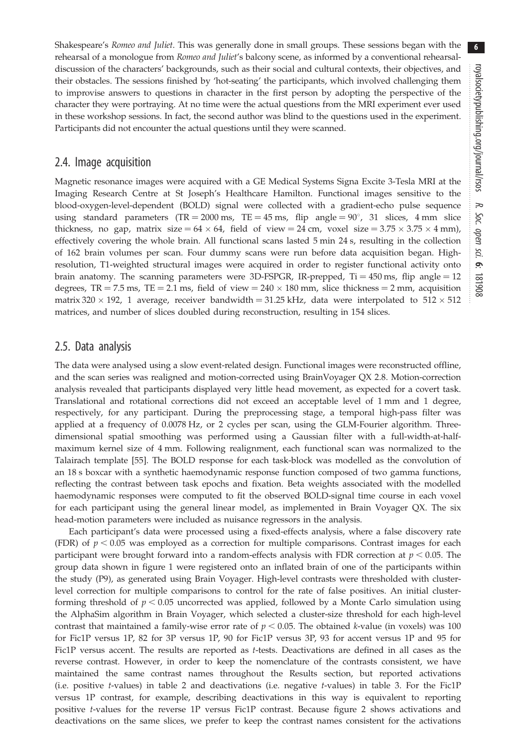Shakespeare's Romeo and Juliet. This was generally done in small groups. These sessions began with the rehearsal of a monologue from Romeo and Juliet's balcony scene, as informed by a conventional rehearsaldiscussion of the characters' backgrounds, such as their social and cultural contexts, their objectives, and their obstacles. The sessions finished by 'hot-seating' the participants, which involved challenging them to improvise answers to questions in character in the first person by adopting the perspective of the character they were portraying. At no time were the actual questions from the MRI experiment ever used in these workshop sessions. In fact, the second author was blind to the questions used in the experiment. Participants did not encounter the actual questions until they were scanned.

#### 2.4. Image acquisition

Magnetic resonance images were acquired with a GE Medical Systems Signa Excite 3-Tesla MRI at the Imaging Research Centre at St Joseph's Healthcare Hamilton. Functional images sensitive to the blood-oxygen-level-dependent (BOLD) signal were collected with a gradient-echo pulse sequence using standard parameters (TR = 2000 ms, TE = 45 ms, flip angle =  $90^{\circ}$ , 31 slices, 4 mm slice thickness, no gap, matrix size =  $64 \times 64$ , field of view = 24 cm, voxel size =  $3.75 \times 3.75 \times 4$  mm), effectively covering the whole brain. All functional scans lasted 5 min 24 s, resulting in the collection of 162 brain volumes per scan. Four dummy scans were run before data acquisition began. Highresolution, T1-weighted structural images were acquired in order to register functional activity onto brain anatomy. The scanning parameters were 3D-FSPGR, IR-prepped,  $Ti = 450$  ms, flip angle  $= 12$ degrees, TR = 7.5 ms, TE = 2.1 ms, field of view =  $240 \times 180$  mm, slice thickness = 2 mm, acquisition matrix 320  $\times$  192, 1 average, receiver bandwidth = 31.25 kHz, data were interpolated to 512  $\times$  512 matrices, and number of slices doubled during reconstruction, resulting in 154 slices.

#### 2.5. Data analysis

The data were analysed using a slow event-related design. Functional images were reconstructed offline, and the scan series was realigned and motion-corrected using BrainVoyager QX 2.8. Motion-correction analysis revealed that participants displayed very little head movement, as expected for a covert task. Translational and rotational corrections did not exceed an acceptable level of 1 mm and 1 degree, respectively, for any participant. During the preprocessing stage, a temporal high-pass filter was applied at a frequency of 0.0078 Hz, or 2 cycles per scan, using the GLM-Fourier algorithm. Threedimensional spatial smoothing was performed using a Gaussian filter with a full-width-at-halfmaximum kernel size of 4 mm. Following realignment, each functional scan was normalized to the Talairach template [\[55](#page-18-0)]. The BOLD response for each task-block was modelled as the convolution of an 18 s boxcar with a synthetic haemodynamic response function composed of two gamma functions, reflecting the contrast between task epochs and fixation. Beta weights associated with the modelled haemodynamic responses were computed to fit the observed BOLD-signal time course in each voxel for each participant using the general linear model, as implemented in Brain Voyager QX. The six head-motion parameters were included as nuisance regressors in the analysis.

Each participant's data were processed using a fixed-effects analysis, where a false discovery rate (FDR) of  $p < 0.05$  was employed as a correction for multiple comparisons. Contrast images for each participant were brought forward into a random-effects analysis with FDR correction at  $p < 0.05$ . The group data shown in [figure 1](#page-6-0) were registered onto an inflated brain of one of the participants within the study (P9), as generated using Brain Voyager. High-level contrasts were thresholded with clusterlevel correction for multiple comparisons to control for the rate of false positives. An initial clusterforming threshold of  $p < 0.05$  uncorrected was applied, followed by a Monte Carlo simulation using the AlphaSim algorithm in Brain Voyager, which selected a cluster-size threshold for each high-level contrast that maintained a family-wise error rate of  $p < 0.05$ . The obtained k-value (in voxels) was 100 for Fic1P versus 1P, 82 for 3P versus 1P, 90 for Fic1P versus 3P, 93 for accent versus 1P and 95 for Fic1P versus accent. The results are reported as t-tests. Deactivations are defined in all cases as the reverse contrast. However, in order to keep the nomenclature of the contrasts consistent, we have maintained the same contrast names throughout the Results section, but reported activations (i.e. positive t-values) in [table 2](#page-10-0) and deactivations (i.e. negative t-values) in [table 3](#page-11-0). For the Fic1P versus 1P contrast, for example, describing deactivations in this way is equivalent to reporting positive t-values for the reverse 1P versus Fic1P contrast. Because [figure 2](#page-9-0) shows activations and deactivations on the same slices, we prefer to keep the contrast names consistent for the activations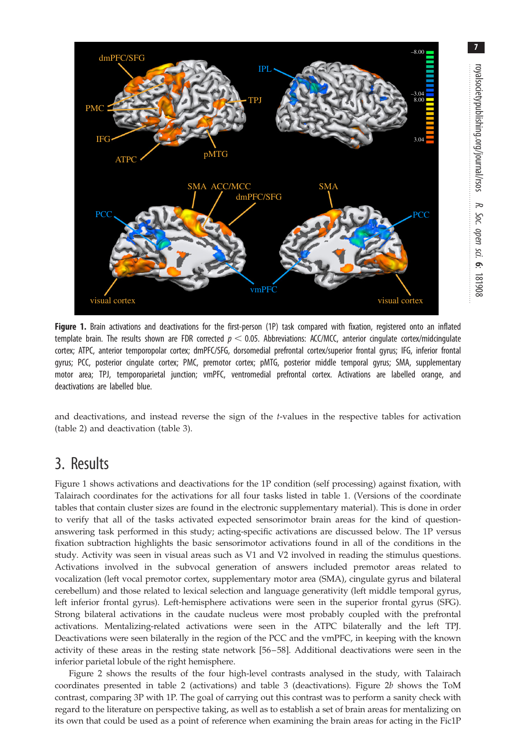<span id="page-6-0"></span>

Figure 1. Brain activations and deactivations for the first-person (1P) task compared with fixation, registered onto an inflated template brain. The results shown are FDR corrected  $p < 0.05$ . Abbreviations: ACC/MCC, anterior cingulate cortex/midcingulate cortex; ATPC, anterior temporopolar cortex; dmPFC/SFG, dorsomedial prefrontal cortex/superior frontal gyrus; IFG, inferior frontal gyrus; PCC, posterior cingulate cortex; PMC, premotor cortex; pMTG, posterior middle temporal gyrus; SMA, supplementary motor area; TPJ, temporoparietal junction; vmPFC, ventromedial prefrontal cortex. Activations are labelled orange, and deactivations are labelled blue.

and deactivations, and instead reverse the sign of the t-values in the respective tables for activation [\(table 2](#page-10-0)) and deactivation [\(table 3\)](#page-11-0).

## 3. Results

Figure 1 shows activations and deactivations for the 1P condition (self processing) against fixation, with Talairach coordinates for the activations for all four tasks listed in [table 1](#page-7-0). (Versions of the coordinate tables that contain cluster sizes are found in the electronic supplementary material). This is done in order to verify that all of the tasks activated expected sensorimotor brain areas for the kind of questionanswering task performed in this study; acting-specific activations are discussed below. The 1P versus fixation subtraction highlights the basic sensorimotor activations found in all of the conditions in the study. Activity was seen in visual areas such as V1 and V2 involved in reading the stimulus questions. Activations involved in the subvocal generation of answers included premotor areas related to vocalization (left vocal premotor cortex, supplementary motor area (SMA), cingulate gyrus and bilateral cerebellum) and those related to lexical selection and language generativity (left middle temporal gyrus, left inferior frontal gyrus). Left-hemisphere activations were seen in the superior frontal gyrus (SFG). Strong bilateral activations in the caudate nucleus were most probably coupled with the prefrontal activations. Mentalizing-related activations were seen in the ATPC bilaterally and the left TPJ. Deactivations were seen bilaterally in the region of the PCC and the vmPFC, in keeping with the known activity of these areas in the resting state network [\[56](#page-18-0)–[58](#page-18-0)]. Additional deactivations were seen in the inferior parietal lobule of the right hemisphere.

[Figure 2](#page-9-0) shows the results of the four high-level contrasts analysed in the study, with Talairach coordinates presented in [table 2](#page-10-0) (activations) and [table 3](#page-11-0) (deactivations). Figure  $2b$  shows the ToM contrast, comparing 3P with 1P. The goal of carrying out this contrast was to perform a sanity check with regard to the literature on perspective taking, as well as to establish a set of brain areas for mentalizing on its own that could be used as a point of reference when examining the brain areas for acting in the Fic1P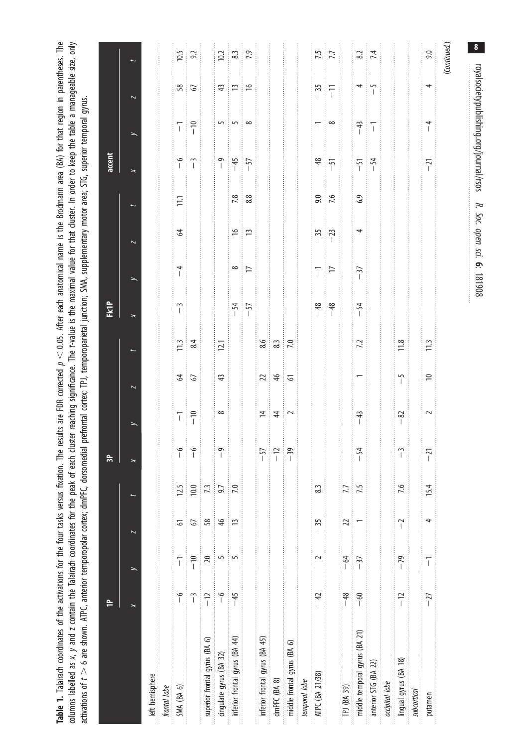<span id="page-7-0"></span>Table 1. Talairach coordinates of the activations for the four tasks versus fixation. The results are FDR corrected  $p < 0.05$ . After each anatomical name is the Brodmann area (BA) for that region in parentheses. The columns labelled as x, y and z contain the Talairach coordinates for the peak of each cluster readning significance. The t-value is the maximal value for that cluster. In order to keep the table a manageable size, only Table 1. Talairach coordinates of the activations for the four tasks versus fixation. The results are FDR corrected  $p < 0.05$ . After each anatomical name is the Brodmann area (BA) for that region in parentheses. The columns labelled as x, y and z contain the Talairach coordinates for the peak of each cluster reaching significance. The t-value is the maximal value for that cluster. In order to keep the table a manageable size, only activations of  $t > 6$  are shown. ATPC, anterior temporopolar cortex; dmPFC, dorsomedial prefrontal cortex; TPJ, temporoparietal junction; SMA, supplementary motor area; STG, superior temporal gyrus. activations of t  $>$  6 are shown. ATPC, anterior temporopolar cortex; dmPFC, dorsomedial prefrontal cortex; TPJ, temporoparietal junction; SMA, supplementary motor area; STG, superior temporal gyrus.

|                                |                       |                                                                                                                                                                                                                                                                                                                                                                                                                |                         |                | $\approx$                                              |                                                                                                     |                         |                                                           | <b>Fict</b>      |                      |                         |                                                 | accent                                    |                                                                |                                                                  |                        |
|--------------------------------|-----------------------|----------------------------------------------------------------------------------------------------------------------------------------------------------------------------------------------------------------------------------------------------------------------------------------------------------------------------------------------------------------------------------------------------------------|-------------------------|----------------|--------------------------------------------------------|-----------------------------------------------------------------------------------------------------|-------------------------|-----------------------------------------------------------|------------------|----------------------|-------------------------|-------------------------------------------------|-------------------------------------------|----------------------------------------------------------------|------------------------------------------------------------------|------------------------|
|                                | $\pmb{\times}$        |                                                                                                                                                                                                                                                                                                                                                                                                                | $\overline{\mathbf{z}}$ |                |                                                        |                                                                                                     | $\overline{\mathbf{z}}$ |                                                           | $\star$          |                      | $\overline{\mathbf{z}}$ |                                                 | $\star$                                   | $\overline{\phantom{0}}$                                       | $\overline{\phantom{a}}$                                         |                        |
| left hemisphere                |                       |                                                                                                                                                                                                                                                                                                                                                                                                                |                         |                |                                                        |                                                                                                     |                         |                                                           |                  |                      |                         |                                                 |                                           |                                                                |                                                                  |                        |
| frontal lobe                   |                       |                                                                                                                                                                                                                                                                                                                                                                                                                |                         |                |                                                        |                                                                                                     |                         |                                                           |                  |                      |                         |                                                 |                                           |                                                                |                                                                  |                        |
| SMA (BA 6)                     | $\frac{6}{1}$         | ī                                                                                                                                                                                                                                                                                                                                                                                                              | 61                      | 12.5           | $\begin{array}{c} \circ \\ \circ \\ \circ \end{array}$ | $\begin{array}{c} -1 \\ -1 \end{array}$                                                             | $\frac{6}{3}$           | $\frac{11.3}{8.4}$                                        | $\tilde{1}$      | $\overline{1}$       | $\mathcal{Z}$<br>Î      | $11.1$<br>Î                                     | $-6$ $-3$                                 | $\begin{array}{c} \n\hline \n-1 \\ \hline \n\end{array}$       | $rac{28}{67}$                                                    |                        |
|                                | $\tilde{1}$           | $-10$                                                                                                                                                                                                                                                                                                                                                                                                          | 5                       | 10.0           |                                                        |                                                                                                     |                         |                                                           |                  |                      |                         |                                                 |                                           |                                                                |                                                                  | $10.5$<br>$9.2$        |
| superior frontal gyrus (BA 6)  | $-12$<br>İ            | $\overline{20}$                                                                                                                                                                                                                                                                                                                                                                                                | 58<br>ŧ                 | $\frac{1}{73}$ |                                                        |                                                                                                     |                         |                                                           |                  |                      |                         |                                                 | $\frac{1}{2}$                             | İ                                                              |                                                                  |                        |
| cingulate gyrus (BA 32)        | $\frac{6}{1}$<br>İ    | 5                                                                                                                                                                                                                                                                                                                                                                                                              | $\frac{4}{6}$<br>İ      | 9.7<br>Î       | $\frac{1}{2}$                                          | ∶ ∞                                                                                                 | $43$                    | $\frac{1}{12}$                                            |                  |                      |                         |                                                 | $-9$<br>$-45$<br>$-57$                    | $\overline{\phantom{a}}$                                       |                                                                  | $\frac{10.2}{8.3}$ 7.9 |
| inferior frontal gyrus (BA 44) | - 45<br>$\frac{1}{2}$ |                                                                                                                                                                                                                                                                                                                                                                                                                | $\overline{1}$          | 7.0<br>ĺ       | İ                                                      |                                                                                                     | ţ                       | $\frac{1}{2}$                                             | $\frac{-54}{57}$ | $rac{8}{2}$          | ုံမျှေ                  | $\begin{array}{c} 28 \\ 7.8 \\ 8.8 \end{array}$ |                                           |                                                                | 49.19.19                                                         |                        |
|                                |                       |                                                                                                                                                                                                                                                                                                                                                                                                                |                         |                |                                                        |                                                                                                     |                         |                                                           |                  |                      |                         |                                                 |                                           | ∶∞                                                             |                                                                  |                        |
| inferior frontal gyrus (BA 45) |                       |                                                                                                                                                                                                                                                                                                                                                                                                                |                         |                | $\begin{array}{c} -57 \\ -12 \\ -39 \end{array}$       |                                                                                                     |                         | $\frac{8.6}{8.3}$ 7.0                                     |                  |                      |                         |                                                 |                                           |                                                                |                                                                  |                        |
| dmPFC (BA 8)                   |                       |                                                                                                                                                                                                                                                                                                                                                                                                                |                         |                |                                                        | $\begin{array}{c c} \hline \text{ } & \text{ } \\ \hline \text{ } & \text{ } \\ \hline \end{array}$ | 2146                    |                                                           |                  |                      |                         |                                                 |                                           |                                                                |                                                                  |                        |
| middle frontal gyrus (BA 6)    |                       |                                                                                                                                                                                                                                                                                                                                                                                                                |                         |                |                                                        |                                                                                                     |                         |                                                           |                  |                      |                         |                                                 |                                           |                                                                |                                                                  |                        |
| temporal lobe                  |                       |                                                                                                                                                                                                                                                                                                                                                                                                                |                         |                |                                                        |                                                                                                     |                         |                                                           |                  |                      |                         |                                                 |                                           |                                                                |                                                                  |                        |
| ATPC (BA 21/38)                | $-42$                 | $\sim$                                                                                                                                                                                                                                                                                                                                                                                                         | $-35$                   | 8.3            |                                                        |                                                                                                     |                         |                                                           | $-48$            |                      |                         |                                                 |                                           |                                                                | $-35$<br>$-11$                                                   |                        |
|                                |                       |                                                                                                                                                                                                                                                                                                                                                                                                                |                         |                |                                                        |                                                                                                     |                         |                                                           |                  | $\frac{1}{\sqrt{2}}$ | $-35$                   | $9.0$<br>7.6                                    | $-48$<br>$-51$<br>ł                       | $\overline{1}$ $\overline{\bullet}$                            |                                                                  | $\frac{17}{5}$         |
| TPJ (BA 39)                    | $-48$                 | $-64$                                                                                                                                                                                                                                                                                                                                                                                                          | $\overline{2}$          | 7.7            |                                                        |                                                                                                     |                         |                                                           | İ                |                      |                         |                                                 |                                           |                                                                | j.                                                               |                        |
| middle temporal gyrus (BA 21)  | $-60$                 | Î<br>$-37$                                                                                                                                                                                                                                                                                                                                                                                                     |                         | $\frac{1}{75}$ | $-54$                                                  | $-43$                                                                                               |                         | $\overline{z}$                                            | $-54$            | $-37$                | 4                       | $6.9$                                           | $\begin{array}{c} -51 \\ -54 \end{array}$ | $\begin{array}{ c c }\n\hline\n+43 \\ \hline\n-1\n\end{array}$ | $\begin{array}{c} \hline 4 \\ 0 \\ 0 \\ 0 \\ \hline \end{array}$ | $\frac{8.2}{7.4}$      |
| anterior STG (BA 22)           |                       |                                                                                                                                                                                                                                                                                                                                                                                                                |                         |                |                                                        |                                                                                                     |                         |                                                           |                  |                      |                         |                                                 |                                           |                                                                |                                                                  |                        |
| occipital lobe                 |                       |                                                                                                                                                                                                                                                                                                                                                                                                                |                         |                |                                                        |                                                                                                     |                         |                                                           |                  |                      |                         |                                                 |                                           |                                                                |                                                                  |                        |
| lingual gyrus (BA 18)          | $-12$                 | $-79$                                                                                                                                                                                                                                                                                                                                                                                                          | $\overline{a}$          | 7.6            | $\begin{bmatrix} 1 \\ 1 \end{bmatrix}$                 | $-82$                                                                                               | $-5$                    | $\begin{array}{c} \boxed{1.8} \\ \boxed{1.8} \end{array}$ |                  |                      |                         |                                                 |                                           |                                                                |                                                                  |                        |
| subcortical                    |                       |                                                                                                                                                                                                                                                                                                                                                                                                                |                         |                |                                                        |                                                                                                     |                         |                                                           |                  |                      |                         |                                                 |                                           |                                                                |                                                                  |                        |
| putamen                        | $-27$                 | $\begin{array}{c} \rule{0pt}{2ex} \rule{0pt}{2ex} \rule{0pt}{2ex} \rule{0pt}{2ex} \rule{0pt}{2ex} \rule{0pt}{2ex} \rule{0pt}{2ex} \rule{0pt}{2ex} \rule{0pt}{2ex} \rule{0pt}{2ex} \rule{0pt}{2ex} \rule{0pt}{2ex} \rule{0pt}{2ex} \rule{0pt}{2ex} \rule{0pt}{2ex} \rule{0pt}{2ex} \rule{0pt}{2ex} \rule{0pt}{2ex} \rule{0pt}{2ex} \rule{0pt}{2ex} \rule{0pt}{2ex} \rule{0pt}{2ex} \rule{0pt}{2ex} \rule{0pt}{$ | 4                       | 15.4           | $-21$                                                  | $\sim$                                                                                              | $\approx$               | 11.3                                                      |                  |                      |                         |                                                 | $-21$                                     | $\overline{1}$                                                 | 4                                                                | 9.0                    |
|                                |                       |                                                                                                                                                                                                                                                                                                                                                                                                                |                         |                |                                                        |                                                                                                     |                         |                                                           |                  |                      |                         |                                                 |                                           |                                                                |                                                                  | (Continued.)           |

royalsocietypublishing.org/journal/rsos

royalsocietypublishing.org/journal/rsos

 $\overline{\mathbf{8}}$ 

R. Soc. open sci. <u>م</u>.

coyalsocietypublishing.org/journal/rsos R. Soc. open sci. 6: 181908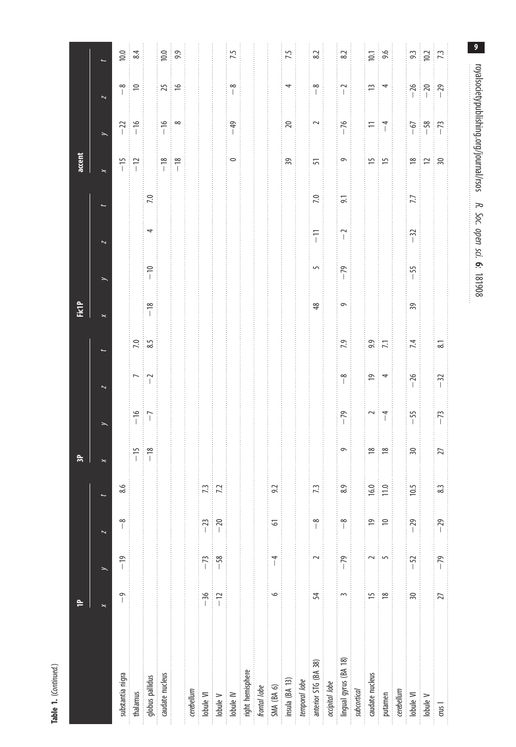| ۹ |  |
|---|--|
|   |  |

|                       |                          |                |                          |               | $\approx$          |                |                         |                                                         | FictP                   |                 |                          |                  | accent                  |                          |                                                    |                                  |
|-----------------------|--------------------------|----------------|--------------------------|---------------|--------------------|----------------|-------------------------|---------------------------------------------------------|-------------------------|-----------------|--------------------------|------------------|-------------------------|--------------------------|----------------------------------------------------|----------------------------------|
|                       | $\times$                 |                | $\overline{\phantom{a}}$ |               | $\mathord{\Join}$  | $\rightarrow$  | $\overline{\mathbf{z}}$ |                                                         | $\overline{\mathbf{X}}$ |                 | $\overline{\phantom{a}}$ |                  | $\overline{\mathbf{X}}$ | $\overline{\phantom{0}}$ | $\overline{\mathbf{z}}$                            |                                  |
| substantia nigra      | $\overline{\phantom{0}}$ | $-19$          | $\frac{8}{1}$            | $\circ$<br>∞  |                    |                |                         |                                                         |                         |                 |                          |                  |                         |                          |                                                    | 10.0                             |
| thalamus              |                          |                |                          |               | $-15$<br>$-18$     | $-16$          | $\overline{ }$          | $\begin{array}{c}\n 7.0 \\  \hline\n 8.5\n \end{array}$ |                         |                 |                          |                  | $-15$<br>$-12$          | $-22$<br>$-16$           | $\frac{8}{1}$ 2                                    | 8.4                              |
| globus pallidus       |                          |                |                          |               |                    |                | $\frac{1}{2}$           |                                                         | $-18$                   | $-10$           | 4                        | 7.0              |                         |                          |                                                    |                                  |
| caudate nucleus       |                          |                |                          |               |                    |                |                         |                                                         |                         |                 |                          |                  | $-18$                   | $-16$                    | $25 - 16$                                          | 10.0                             |
|                       |                          |                |                          |               |                    |                |                         |                                                         |                         |                 |                          |                  |                         | $\infty$                 |                                                    |                                  |
| cerebellum            |                          |                |                          |               |                    |                |                         |                                                         |                         |                 |                          |                  |                         |                          |                                                    |                                  |
| lobule VI             | $-36$                    | $-73$          | $-23$                    | 7.3           |                    |                |                         |                                                         |                         |                 |                          |                  |                         |                          |                                                    |                                  |
| lobule V              | $-\frac{12}{2}$          | $-58$<br>İ     | $-20$<br>ŧ               | 7.2           |                    |                |                         |                                                         |                         |                 |                          |                  |                         |                          |                                                    |                                  |
| lobule IV             |                          |                |                          |               |                    |                |                         |                                                         |                         |                 |                          |                  | $\circ$                 | $-49$                    | $\frac{8}{1}$                                      | 7.5                              |
| right hemisphere      |                          |                |                          |               |                    |                |                         |                                                         |                         |                 |                          |                  |                         |                          |                                                    |                                  |
| frontal lobe          |                          |                |                          |               |                    |                |                         |                                                         |                         |                 |                          |                  |                         |                          |                                                    |                                  |
| SMA (BA 6)            | $\circ$                  | $\overline{1}$ | 61                       | 9.2           |                    |                |                         |                                                         |                         |                 |                          |                  |                         |                          |                                                    |                                  |
| insula (BA 13)        |                          |                |                          |               |                    |                |                         |                                                         |                         |                 |                          |                  | 39                      | $\overline{20}$          | 4                                                  | 7.5                              |
| temporal lobe         |                          |                |                          |               |                    |                |                         |                                                         |                         |                 |                          |                  |                         |                          |                                                    |                                  |
| anterior STG (BA 38)  | 54                       |                | $\frac{8}{1}$            | 7.3           |                    |                |                         |                                                         | $48$                    | 5               | $\overline{1}$<br>İ      | 7.0              | 51                      | $\sim$                   | $\frac{8}{1}$                                      | 8.2                              |
| occipital lobe        |                          |                |                          |               |                    |                |                         |                                                         |                         |                 |                          |                  |                         |                          |                                                    |                                  |
| lingual gyrus (BA 18) | 3                        | $-79$          | $\frac{8}{1}$            | $\sigma$<br>∞ | $\circ$            | $-79$          | $\frac{8}{1}$           | 7.9                                                     | $\circ$                 | $\overline{79}$ | $\overline{a}$           | $\overline{9}$ . | $\circ$                 | $-76$                    | $\overline{1}$                                     | 8.2                              |
| subcortical           |                          |                |                          |               |                    |                |                         |                                                         |                         |                 |                          |                  |                         |                          |                                                    |                                  |
| caudate nucleus       | 15                       |                | $\overline{0}$           | 16.0          | $\frac{8}{2}$<br>ŧ | $\sim$         | $\overline{e}$<br>ŧ     | 9.9                                                     |                         |                 |                          |                  | $\frac{15}{2}$<br>ł     | $\equiv$                 | 13                                                 | $10.1$<br>9.6                    |
| putamen               | $\approx$                |                | $\approx$                | 11.0          | $\frac{8}{2}$      | $\overline{1}$ | 4                       | $\frac{1}{\sqrt{2}}$                                    |                         |                 |                          |                  | 15                      | $\frac{1}{2}$            | 4                                                  |                                  |
| cerebellum            |                          |                |                          |               |                    |                |                         |                                                         |                         |                 |                          |                  |                         |                          |                                                    |                                  |
| lobule VI             | 30                       | $-52$          | $-29$                    | 10.5          | $\sqrt{2}$         | $-55$          | $-26$                   | 7.4                                                     | $\sqrt{3}$              | $-55$           | $-32$                    | 7.7              |                         |                          |                                                    |                                  |
| lobule V              |                          |                |                          |               |                    |                |                         |                                                         |                         |                 |                          |                  | $\frac{1}{2}$           | $-58$<br>$-58$           | $\begin{array}{c}\n-26 \\ -20 \\ -29\n\end{array}$ | $\frac{33}{102}$ $\frac{23}{13}$ |
| $\cos 1$              | 27                       | $-79$          | $-29$                    | 8.3           | $\overline{27}$    | $-73$          | $-32$                   | $\approx$                                               |                         |                 |                          |                  |                         |                          |                                                    |                                  |
|                       |                          |                |                          |               |                    |                |                         |                                                         |                         |                 |                          |                  |                         |                          |                                                    |                                  |

 $\overline{9}$ 181908 9royalsocietypublishing.org/journal/rsos R. Soc. open sci. <u>م</u>.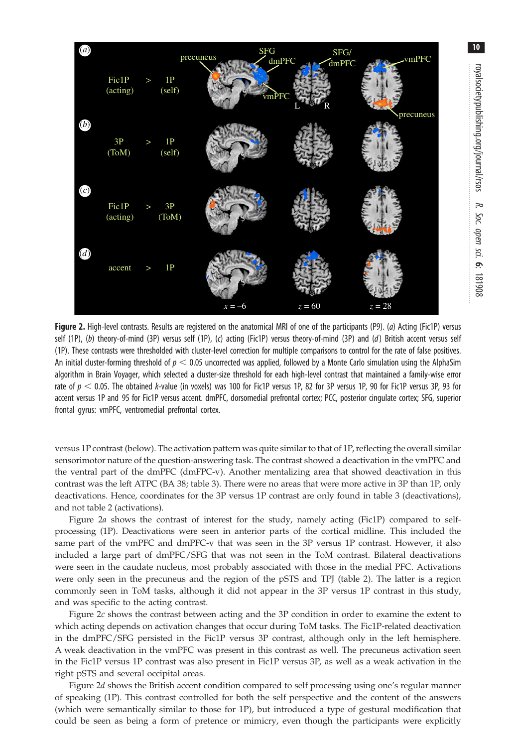<span id="page-9-0"></span>

Figure 2. High-level contrasts. Results are registered on the anatomical MRI of one of the participants (P9). (a) Acting (Fic1P) versus self (1P), (b) theory-of-mind (3P) versus self (1P), (c) acting (Fic1P) versus theory-of-mind (3P) and (d) British accent versus self (1P). These contrasts were thresholded with cluster-level correction for multiple comparisons to control for the rate of false positives. An initial cluster-forming threshold of  $p < 0.05$  uncorrected was applied, followed by a Monte Carlo simulation using the AlphaSim algorithm in Brain Voyager, which selected a cluster-size threshold for each high-level contrast that maintained a family-wise error rate of  $p < 0.05$ . The obtained k-value (in voxels) was 100 for Fic1P versus 1P, 82 for 3P versus 1P, 90 for Fic1P versus 3P, 93 for accent versus 1P and 95 for Fic1P versus accent. dmPFC, dorsomedial prefrontal cortex; PCC, posterior cingulate cortex; SFG, superior frontal gyrus: vmPFC, ventromedial prefrontal cortex.

versus 1P contrast (below). The activation pattern was quite similar to that of 1P, reflecting the overall similar sensorimotor nature of the question-answering task. The contrast showed a deactivation in the vmPFC and the ventral part of the dmPFC (dmFPC-v). Another mentalizing area that showed deactivation in this contrast was the left ATPC (BA 38; [table 3\)](#page-11-0). There were no areas that were more active in 3P than 1P, only deactivations. Hence, coordinates for the 3P versus 1P contrast are only found in [table 3](#page-11-0) (deactivations), and not [table 2](#page-10-0) (activations).

Figure 2a shows the contrast of interest for the study, namely acting (Fic1P) compared to selfprocessing (1P). Deactivations were seen in anterior parts of the cortical midline. This included the same part of the vmPFC and dmPFC-v that was seen in the 3P versus 1P contrast. However, it also included a large part of dmPFC/SFG that was not seen in the ToM contrast. Bilateral deactivations were seen in the caudate nucleus, most probably associated with those in the medial PFC. Activations were only seen in the precuneus and the region of the pSTS and TPJ ([table 2](#page-10-0)). The latter is a region commonly seen in ToM tasks, although it did not appear in the 3P versus 1P contrast in this study, and was specific to the acting contrast.

Figure 2c shows the contrast between acting and the 3P condition in order to examine the extent to which acting depends on activation changes that occur during ToM tasks. The Fic1P-related deactivation in the dmPFC/SFG persisted in the Fic1P versus 3P contrast, although only in the left hemisphere. A weak deactivation in the vmPFC was present in this contrast as well. The precuneus activation seen in the Fic1P versus 1P contrast was also present in Fic1P versus 3P, as well as a weak activation in the right pSTS and several occipital areas.

Figure 2d shows the British accent condition compared to self processing using one's regular manner of speaking (1P). This contrast controlled for both the self perspective and the content of the answers (which were semantically similar to those for 1P), but introduced a type of gestural modification that could be seen as being a form of pretence or mimicry, even though the participants were explicitly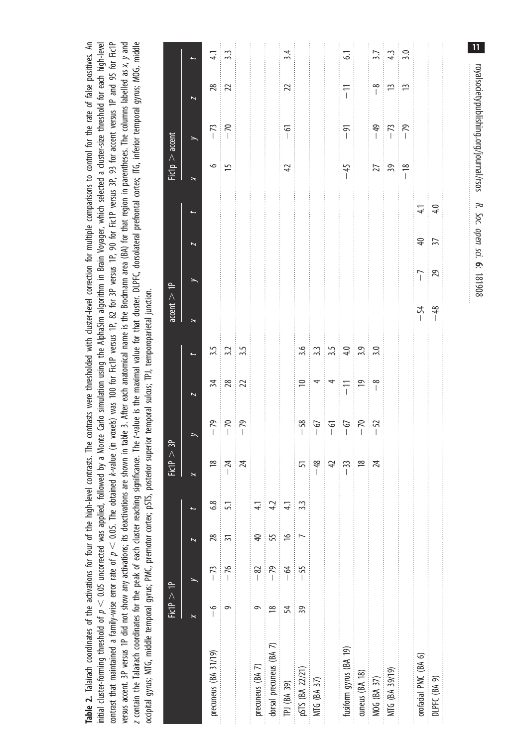<span id="page-10-0"></span>Table 2. Talairach coordinates of the activations for four of the high-level contrasts. The contrasts were thresholded with cluster-level correction for multiple comparisons to control for the rate of false positives. An initial cluster-forming threshold of  $p < 0.05$  uncorrected was applied, followed by a Monte Carlo simulation using the AlphaSim algorithm in Brain Voyager, which selected a duster-size threshold for each high-level contrast that maintained a family-wise error rate of  $p < 0.05$ . The obtained k-value (in voxels) was 100 for FicTP versus 1P, 82 for 3P versus 1P, 90 for FicTP versus 3P, 93 for accent versus 1P and 95 for FicTP Table 2. Talairach coordinates of the activations for four of the high-level contrasts. The contrasts were thresholded with cluster-level correction for multiple comparisons to control for the rate of false positives. An contrast that maintained a family-wise error rate of  $p < 0.05$ . The obtained k-value (in voxels) was 100 for Fic1P versus 1P, 90 for Fic1P versus 3P, 93 for accent versus 1P and 95 for Fic1P versus accent. 3P versus 1P did not show any activations; its deactivations are shown in table 3. After each anatomical name is the Brodmann area (BA) for that region in parentheses. The columns labelled as x, y and versus accent. 3P versus 1P did not show any activations; its deactivations are shown in [table](#page-11-0) 3. After each anatomical name is the Brodmann area (BA) for that region in parentheses. The columns labelled as x, y and z contain the Talairach coordinates for the peak of each cluster reaching significance. The t-value is the maximal value for that cluster. DLPFC, dorsolateral prefrontal cortex; ITG, inferior temporal gyrus; MOG, middle z contain the Talairach coordinates for the peak of each cluster reaching significance. The t-value is the maximal value for that cluster. DLPFC, dorsolateral prefrontal cortex; ITG, inferior temporal gyrus; MOG, middle initial cluster-forming threshold of  $p < 0.05$  uncorrected was applied, followed by a Monte Carlo simulation using the AlphaSim algorithm in Brain Voyager, which selected a cluster-size threshold for each high-level ocipital gyrus; MTG, middle temporal gyrus; PMC, premotor cortex; pSTS, posterior superior temporal sulcus; TPJ, temporoparietal junction. occipital gyrus; MTG, middle temporal gyrus; PMC, premotor cortex; pSTS, posterior superior temporal sulcus; TPJ, temporoparietal junction.

|                         | $FicIP \geq 1$    |           |                |               | FicIP > 3P                                                                                        |                                           |                                                 |                                                           | accent > 1P |               |                 |     | Fic $p > i$                                                   | accent                       |                                             |                   |
|-------------------------|-------------------|-----------|----------------|---------------|---------------------------------------------------------------------------------------------------|-------------------------------------------|-------------------------------------------------|-----------------------------------------------------------|-------------|---------------|-----------------|-----|---------------------------------------------------------------|------------------------------|---------------------------------------------|-------------------|
|                         | $\mathord{\Join}$ |           |                |               |                                                                                                   |                                           |                                                 |                                                           | $\times$    |               |                 |     |                                                               | $\rightarrow$                | $\overline{\phantom{a}}$                    |                   |
| precuneus (BA 31/19)    | $\frac{6}{1}$     | $-73$     | 28             | 6.8           |                                                                                                   |                                           |                                                 | 3.5                                                       |             |               |                 |     | $\frac{1}{2}$                                                 | $-73$                        | $\frac{28}{22}$                             | $\frac{1}{4}$     |
|                         | ᡡ                 | $-76$     | $\overline{3}$ |               | $\frac{18}{1}$                                                                                    | $-79$<br>$-70$                            | $\frac{1}{28}$                                  | $3.3 - 5$                                                 |             |               |                 |     |                                                               |                              |                                             | 3.3               |
|                         |                   |           |                |               | $\frac{1}{2}$                                                                                     |                                           |                                                 |                                                           |             |               |                 |     |                                                               |                              |                                             |                   |
| precuneus (BA 7)        |                   | $\approx$ | $\overline{a}$ |               |                                                                                                   |                                           |                                                 |                                                           |             |               |                 |     |                                                               |                              |                                             |                   |
| dorsal precuneus (BA 7) | $\approx$         | $-79$     | 55             | 4.2           |                                                                                                   |                                           |                                                 |                                                           |             |               |                 |     |                                                               |                              |                                             |                   |
| TPJ (BA 39)             | 54                | $-64$     | $\approx$      | $\frac{1}{4}$ |                                                                                                   |                                           |                                                 |                                                           |             |               |                 |     | $\overline{4}$                                                | $-61$                        | $\overline{2}$                              | 3.4               |
| pSTS (BA 22/21)         | 39<br>$\vdots$    | $-55$     |                | 33            |                                                                                                   |                                           | $\simeq$                                        | 3.6                                                       |             |               |                 |     |                                                               |                              |                                             |                   |
| MTG (BA 37)             |                   |           |                |               |                                                                                                   |                                           |                                                 |                                                           |             |               |                 |     |                                                               |                              |                                             |                   |
|                         |                   |           |                |               | $\frac{5}{1}$ $\frac{8}{4}$ $\frac{1}{2}$ $\frac{8}{1}$ $\frac{8}{1}$ $\frac{8}{1}$ $\frac{1}{2}$ | $-58$<br>$-67$<br>$-67$<br>$-72$<br>$-52$ | $\frac{4}{4}$ = $\frac{1}{10}$ = $\frac{1}{10}$ | $\frac{33}{35}$ $\frac{4}{3}$ $\frac{9}{3}$ $\frac{3}{3}$ |             |               |                 |     |                                                               |                              |                                             |                   |
| fusiform gyrus (BA 19)  |                   |           |                |               |                                                                                                   |                                           |                                                 |                                                           |             |               |                 |     | $-45$                                                         | $-91$                        | $-1$                                        | $\overline{61}$   |
| cuneus (BA 18)          |                   |           |                |               |                                                                                                   |                                           |                                                 |                                                           |             |               |                 |     |                                                               |                              |                                             |                   |
| MOG (BA 37)             |                   |           |                |               |                                                                                                   |                                           | $\frac{1}{2}$                                   |                                                           |             |               |                 |     |                                                               |                              |                                             |                   |
| MTG (BA 39/19)          |                   |           |                |               |                                                                                                   |                                           |                                                 |                                                           |             |               |                 |     | $\begin{array}{c c}\n\hline\n239 \\ \hline\n-18\n\end{array}$ | $-7$<br>$-7$<br>$-7$<br>$-9$ | $\frac{1}{\sqrt{2}}$ = $\frac{1}{\sqrt{2}}$ | $\frac{3.7}{4.3}$ |
|                         |                   |           |                |               |                                                                                                   |                                           |                                                 |                                                           |             |               |                 |     |                                                               |                              |                                             |                   |
| orofacial PMC (BA 6)    |                   |           |                |               |                                                                                                   |                                           |                                                 |                                                           | $-54$       | $\frac{1}{2}$ | $\frac{40}{37}$ | 4.1 |                                                               |                              |                                             |                   |
| DLPFC (BA 9)            |                   |           |                |               |                                                                                                   |                                           |                                                 |                                                           |             |               |                 |     |                                                               |                              |                                             |                   |
|                         |                   |           |                |               |                                                                                                   |                                           |                                                 |                                                           |             |               |                 |     |                                                               |                              |                                             |                   |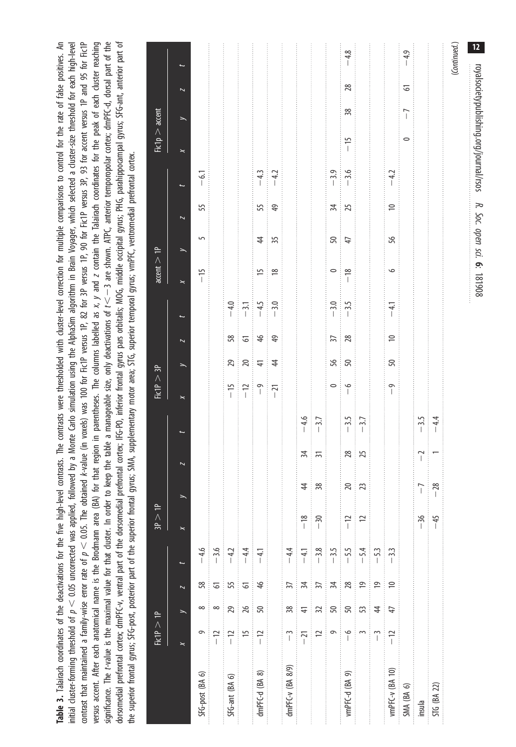<span id="page-11-0"></span>contrast that maintained a family-wise error rate of  $p < 0.05$ . The obtained k-value (in voxels) was 100 for Fic1P versus 1P, 82 for 3P versus 1P, 90 for Fic1P versus 3P, 93 for accent versus 1P and 95 for Fic1P versus accent. After each anatomical name is the Brodmann area (BA) for that region in parentheses. The columns labelled as x, y and z contain the Talairach coordinates for the peak of each duster reaching significance. The t-value is the maximal value for that cluster. In order to keep the table a manageable size, only deactivations of t< - 3 are shown. ATPC, anterior temporopolar cortex; dmPFC-d, dorsal part of the dorsomedial prefrontal cortex; dmPFC-v, ventral part of the dorsomedial prefrontal cortex; IFG-PO, inferior frontal gyrus pars orbitalis; MOG, middle occipital gyrus; PHG, parahippocampal gyrus; SFG-ant, anterior part of Table 3. Talairach coordinates of the deactivations for the five high-level contrasts. The contrasts were thresholded with cluster-level correction for multiple comparisons to control for the rate of false positives. An initial cluster-forming threshold of  $p < 0.05$  uncorrected was applied, followed by a Monte Carlo simulation using the AlphaSim algorithm in Brain Voyager, which selected a duster-size threshold for each high-level Table 3. Talairach coordinates of the deactivations for the five high-level contrasts. The contrasts were thresholded with cluster-level correction for multiple comparisons to control for the rate of false positives. An contrast that maintained a family-wise error rate of  $p < 0.05$ . The obtained k-value (in voxels) was 100 for Fic1P versus 1P, 90 for Fic1P versus 3P, 93 for accent versus 1P and 95 for Fic1P versus 1P and 95 for Fic1P versus accent. After each anatomical name is the Brodmann area (BA) for that region in parentheses. The columns labelled as x, y and z contain the Talairach coordinates for the peak of each cluster reaching significance. The t-value is the maximal value for that cluster. In order to keep the table a manageable size, only deactivations of  $t<-3$  are shown. ATPC, anterior temporopolar cortex; dmPFC-d, dorsal part of the dorsomedial prefrontal cortex; dmPFC-v, ventral part of the dorsomedial prefrontal cortex; IFG-PO, inferior frontal gyrus pars orbitalis; MOG, middle occipital gyrus; PHG, parahippocampal gyrus; SFG-ant, anterior part of initial cluster-forming threshold of  $p < 0.05$  uncorrected was applied, followed by a Monte Carlo simulation using the AlphaSim algorithm in Brain Voyager, which selected a cluster-size threshold for each high-level the superior frontal gyrus; SFG-post, posterior part of the superior frontal gyrus; SMA, supplementary motor area; STG, superior temporal gyrus; vmPFC, ventromedial prefrontal cortex. the superior frontal gyrus; SFG-post, posterior part of the superior frontal gyrus; SMA, supplementary motor area; STG, superior temporal gyrus; vmPFC, ventromedial prefrontal cortex.

| 12           |                         |      | royalsocietypublishing.org/journal/rsos |                |                          |                | R. Soc. open sci. 6: 181908 |                |                          |                 |                                                               |                  |                 |                |                                         |                                                                 |                          |                |                |                  |
|--------------|-------------------------|------|-----------------------------------------|----------------|--------------------------|----------------|-----------------------------|----------------|--------------------------|-----------------|---------------------------------------------------------------|------------------|-----------------|----------------|-----------------------------------------|-----------------------------------------------------------------|--------------------------|----------------|----------------|------------------|
| (Continued.) |                         |      |                                         |                |                          |                |                             |                |                          |                 |                                                               |                  |                 |                |                                         |                                                                 |                          |                |                |                  |
|              |                         |      |                                         |                |                          |                |                             |                |                          |                 |                                                               |                  |                 | $-28$          | $-45$                                   |                                                                 |                          |                |                | STG (BA 22)      |
|              |                         |      |                                         |                |                          |                |                             |                |                          |                 |                                                               | $-3.5$           | $^{-2}$<br>ţ    | $\overline{1}$ | $-36$                                   |                                                                 |                          |                |                | insula           |
| $-4.9$       | 5                       | $-7$ | $\circ$                                 |                |                          |                |                             |                |                          |                 |                                                               |                  |                 |                |                                         |                                                                 |                          |                |                | SMA (BA 6)       |
|              |                         |      |                                         | $-4.2$         | $\approx$                | 95             | $\circ$                     | $-4.1$         | $\approx$                | 50              | $\overline{\phantom{0}}$                                      |                  |                 |                |                                         | $-3.3$                                                          | $\approx$                | $\overline{4}$ | $-12$          | vmPFC-v (BA 10)  |
|              |                         |      |                                         |                |                          |                |                             |                |                          |                 |                                                               |                  |                 |                |                                         | $-53$                                                           | $\overline{9}$           | $\ddot{a}$     | $\tilde{1}$    |                  |
|              |                         |      |                                         |                |                          |                |                             |                |                          |                 |                                                               |                  |                 |                | $\overline{c}$                          |                                                                 | $\overline{9}$           | S              |                |                  |
| $-4.8$       | 28                      | 38   | $-15$                                   | $-3.6$         | 25                       | 47             | $-18$                       | $-3.5$         | 28                       | 50              | $\frac{6}{1}$                                                 | $-3.5$<br>$-3.7$ | $\frac{28}{5}$  | <u> ಇ</u> ಜ    | $-12$                                   | $-5.5$<br>-5.4                                                  | 28                       | 50             | $\frac{6}{1}$  | vmPFC-d (BA 9)   |
|              |                         |      |                                         | $-3.9$         | $\approx$<br>ŧ           | 50             | $\circ$                     | $-3.0$         | $\overline{\mathcal{E}}$ | 95              | $\circ$                                                       |                  |                 |                |                                         |                                                                 | 34                       | 50             | 9              |                  |
|              |                         |      |                                         |                |                          |                |                             |                |                          |                 |                                                               |                  | $\overline{31}$ | $\frac{8}{3}$  |                                         |                                                                 | 37                       | 32             | $\approx$      |                  |
|              |                         |      |                                         |                |                          |                |                             |                |                          |                 |                                                               | $-4.6$<br>-3.7   | $\frac{1}{2}$   | $4^{\circ}$    | $\begin{bmatrix} 2 \\ -1 \end{bmatrix}$ |                                                                 | 34                       | $\overline{+}$ | $-21$          |                  |
|              |                         |      |                                         |                |                          |                |                             |                |                          |                 |                                                               |                  |                 |                |                                         | $-4.1$<br>$-4.1$<br>$-3.8$<br>$-3.5$                            | $\overline{\mathcal{E}}$ | 38             | $\tilde{1}$    | dmPFC-v (BA 8/9) |
|              |                         |      |                                         |                | $\overline{4}$           | 35<br>Ť        | $\frac{8}{10}$              |                | 49                       | $\ddagger$      | $\frac{1}{2}$                                                 |                  |                 |                |                                         |                                                                 |                          |                |                |                  |
|              |                         |      |                                         | $-4.3$<br>-4.2 | 55                       | $\ddot{a}$     | $\overline{15}$             | $-4.5$<br>-3.0 | 46<br>ŧ                  | $\overline{+}$  |                                                               |                  |                 |                |                                         |                                                                 | $\frac{4}{5}$            | 50             | $-12$<br>ł     | dmPFC-d (BA 8)   |
|              |                         |      |                                         |                |                          |                |                             | $-4.0$         | $\overline{6}$           | $\overline{20}$ | $\begin{array}{c c} 15 & 10 \\ -10 & 0 \\ \hline \end{array}$ |                  |                 |                |                                         | $-4.4$                                                          | 6                        | $\frac{8}{5}$  | $\frac{15}{2}$ |                  |
|              |                         |      |                                         |                |                          |                |                             |                | 58                       | 29              |                                                               |                  |                 |                |                                         |                                                                 | 55                       | 29             | $-12$<br>Î     | SFG-ant (BA 6)   |
|              |                         |      |                                         |                |                          |                |                             |                |                          |                 |                                                               |                  |                 |                |                                         | $\begin{array}{ c c } \hline -4.6 & -1.2 \\ \hline \end{array}$ | 61                       |                | $\frac{1}{2}$  |                  |
|              |                         |      |                                         | $-6.1$         | 55                       | $\overline{5}$ | $-15$                       |                |                          |                 |                                                               |                  |                 |                |                                         |                                                                 | 58                       | ∞              | Ō              | SFG-post (BA 6)  |
|              | $\overline{\mathbf{z}}$ |      | $\mathord{\Join}$                       |                | $\overline{\phantom{0}}$ |                | $\mathord{\thicksim}$       |                | $\overline{\phantom{a}}$ |                 | $\boldsymbol{\times}$                                         |                  |                 |                | ×                                       |                                                                 | $\overline{\mathbf{z}}$  |                | ×              |                  |
|              |                         |      | Fic1p > accent                          |                |                          |                | accent > 1P                 |                |                          |                 | FicIP > 3P                                                    |                  |                 |                | 3P > 1P                                 |                                                                 |                          |                | FicIP > IP     |                  |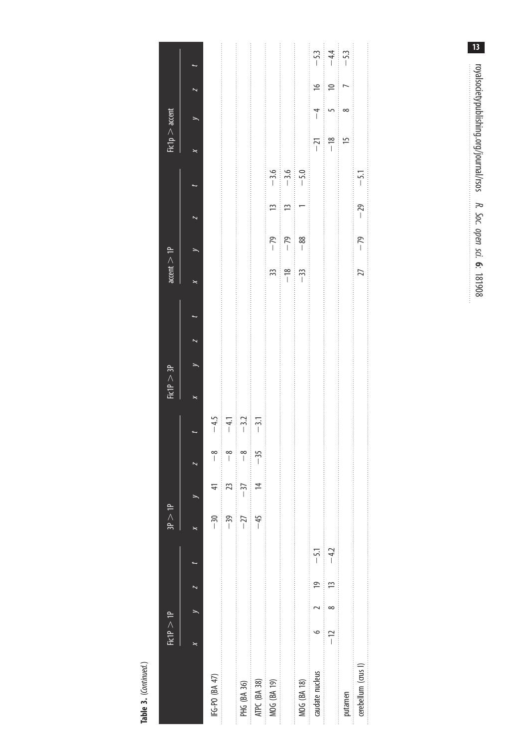|                     | FicIP > IP        |                |                                                                                      | 3P > 1P |           |                        |                         | FicIP > 3P |  | $\text{accept} > 1$ P  |       |             |        | Fic1p > accent |                |               |        |
|---------------------|-------------------|----------------|--------------------------------------------------------------------------------------|---------|-----------|------------------------|-------------------------|------------|--|------------------------|-------|-------------|--------|----------------|----------------|---------------|--------|
|                     | $\mathord{\Join}$ | $\frac{1}{2}$  |                                                                                      |         |           |                        |                         |            |  |                        |       |             |        | ×              |                |               |        |
| IFG-PO (BA 47)      |                   |                |                                                                                      | $-30$   |           | $\frac{8}{1}$          | $-4.5$                  |            |  |                        |       |             |        |                |                |               |        |
|                     |                   |                |                                                                                      | $-39$   | $\approx$ | $\frac{8}{1}$          | $\frac{1}{2}$<br>$-4.1$ |            |  |                        |       |             |        |                |                |               |        |
| PHG (BA 36)         |                   |                |                                                                                      | $-27$   | $-37$     | $\frac{8}{1}$          | $-3.2$<br>Î             |            |  |                        |       |             |        |                |                |               |        |
| ATPC (BA 38)        |                   |                |                                                                                      | $-45$   |           | $-35$<br>$\frac{1}{2}$ | $\frac{1}{2}$           |            |  |                        |       |             |        |                |                |               |        |
| MOG (BA 19)         |                   |                | 的复数形式的过去式和过去分词 医水杨酸 医水杨酸 医水杨酸盐 医阿拉伯氏试验检尿酸酶 医阿拉伯氏征 医阿拉伯氏征 医阿拉伯氏征 医阿拉伯氏征 医阿拉伯氏征 医阿拉伯氏征 |         |           |                        |                         |            |  | 33                     | $-79$ | $\tilde{=}$ | $-3.6$ |                |                |               |        |
|                     |                   |                |                                                                                      |         |           |                        |                         |            |  | $-18$<br>$\frac{1}{2}$ | $-79$ | 13          |        |                |                |               |        |
| MOG (BA 18)         |                   |                |                                                                                      |         |           |                        |                         |            |  | $-33$                  | $-88$ |             | $-5.0$ |                |                |               |        |
| caudate nucleus     | $\circ$           | $\frac{1}{2}$  | $-5.1$                                                                               |         |           |                        |                         |            |  |                        |       |             |        | $-21$          | $\overline{1}$ | $\frac{1}{2}$ | $-5.3$ |
|                     | $-12$             | $\overline{1}$ | $-4.2$                                                                               |         |           |                        |                         |            |  |                        |       |             |        | $-18$          |                | $\approx$     | $-44$  |
| putamen             |                   |                |                                                                                      |         |           |                        |                         |            |  |                        |       |             |        | 15             | ∞              |               | $-53$  |
| cerebellum (crus I) |                   |                |                                                                                      |         |           |                        |                         |            |  | 27                     | $-79$ | $-29$       | $-5.1$ |                |                |               |        |
|                     |                   |                |                                                                                      |         |           |                        |                         |            |  |                        |       |             |        |                |                |               |        |

Table 3. (Continued.) Table 3. (Continued.)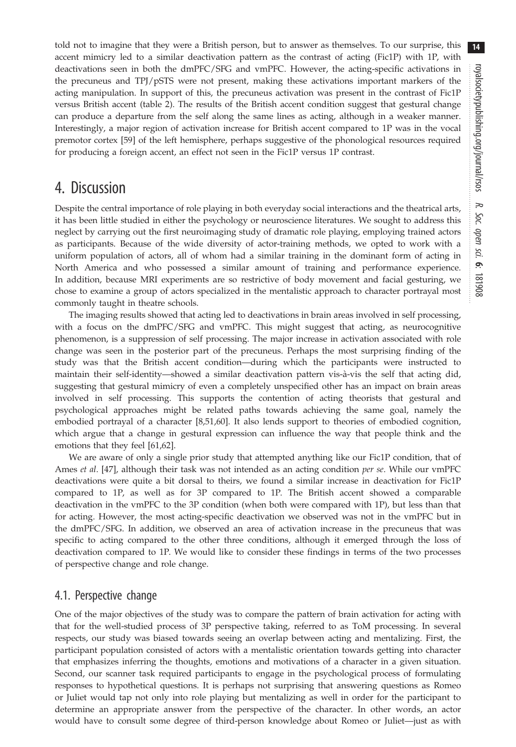told not to imagine that they were a British person, but to answer as themselves. To our surprise, this accent mimicry led to a similar deactivation pattern as the contrast of acting (Fic1P) with 1P, with deactivations seen in both the dmPFC/SFG and vmPFC. However, the acting-specific activations in the precuneus and TPJ/pSTS were not present, making these activations important markers of the acting manipulation. In support of this, the precuneus activation was present in the contrast of Fic1P versus British accent ([table 2\)](#page-10-0). The results of the British accent condition suggest that gestural change can produce a departure from the self along the same lines as acting, although in a weaker manner. Interestingly, a major region of activation increase for British accent compared to 1P was in the vocal premotor cortex [\[59](#page-18-0)] of the left hemisphere, perhaps suggestive of the phonological resources required for producing a foreign accent, an effect not seen in the Fic1P versus 1P contrast.

## 4. Discussion

Despite the central importance of role playing in both everyday social interactions and the theatrical arts, it has been little studied in either the psychology or neuroscience literatures. We sought to address this neglect by carrying out the first neuroimaging study of dramatic role playing, employing trained actors as participants. Because of the wide diversity of actor-training methods, we opted to work with a uniform population of actors, all of whom had a similar training in the dominant form of acting in North America and who possessed a similar amount of training and performance experience. In addition, because MRI experiments are so restrictive of body movement and facial gesturing, we chose to examine a group of actors specialized in the mentalistic approach to character portrayal most commonly taught in theatre schools.

The imaging results showed that acting led to deactivations in brain areas involved in self processing, with a focus on the dmPFC/SFG and vmPFC. This might suggest that acting, as neurocognitive phenomenon, is a suppression of self processing. The major increase in activation associated with role change was seen in the posterior part of the precuneus. Perhaps the most surprising finding of the study was that the British accent condition—during which the participants were instructed to maintain their self-identity—showed a similar deactivation pattern vis-à-vis the self that acting did, suggesting that gestural mimicry of even a completely unspecified other has an impact on brain areas involved in self processing. This supports the contention of acting theorists that gestural and psychological approaches might be related paths towards achieving the same goal, namely the embodied portrayal of a character [[8](#page-17-0),[51,60\]](#page-18-0). It also lends support to theories of embodied cognition, which argue that a change in gestural expression can influence the way that people think and the emotions that they feel [[61,62\]](#page-18-0).

We are aware of only a single prior study that attempted anything like our Fic1P condition, that of Ames et al. [[47\]](#page-18-0), although their task was not intended as an acting condition *per se*. While our vmPFC deactivations were quite a bit dorsal to theirs, we found a similar increase in deactivation for Fic1P compared to 1P, as well as for 3P compared to 1P. The British accent showed a comparable deactivation in the vmPFC to the 3P condition (when both were compared with 1P), but less than that for acting. However, the most acting-specific deactivation we observed was not in the vmPFC but in the dmPFC/SFG. In addition, we observed an area of activation increase in the precuneus that was specific to acting compared to the other three conditions, although it emerged through the loss of deactivation compared to 1P. We would like to consider these findings in terms of the two processes of perspective change and role change.

#### 4.1. Perspective change

One of the major objectives of the study was to compare the pattern of brain activation for acting with that for the well-studied process of 3P perspective taking, referred to as ToM processing. In several respects, our study was biased towards seeing an overlap between acting and mentalizing. First, the participant population consisted of actors with a mentalistic orientation towards getting into character that emphasizes inferring the thoughts, emotions and motivations of a character in a given situation. Second, our scanner task required participants to engage in the psychological process of formulating responses to hypothetical questions. It is perhaps not surprising that answering questions as Romeo or Juliet would tap not only into role playing but mentalizing as well in order for the participant to determine an appropriate answer from the perspective of the character. In other words, an actor would have to consult some degree of third-person knowledge about Romeo or Juliet—just as with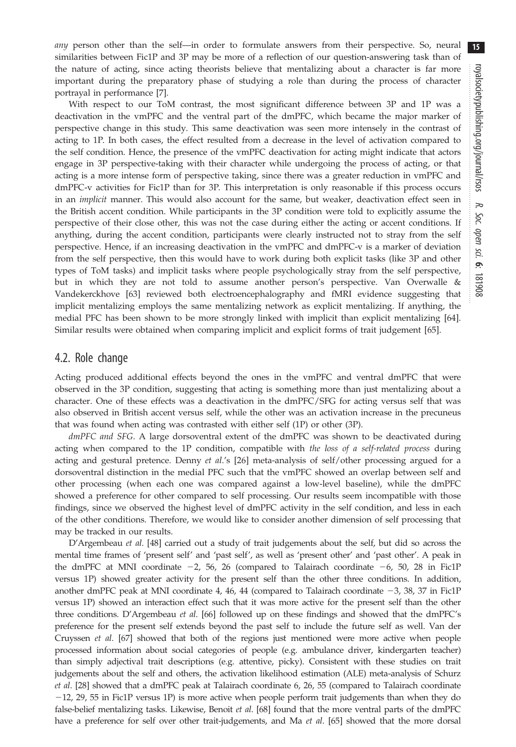any person other than the self—in order to formulate answers from their perspective. So, neural similarities between Fic1P and 3P may be more of a reflection of our question-answering task than of the nature of acting, since acting theorists believe that mentalizing about a character is far more important during the preparatory phase of studying a role than during the process of character portrayal in performance [[7](#page-17-0)].

With respect to our ToM contrast, the most significant difference between 3P and 1P was a deactivation in the vmPFC and the ventral part of the dmPFC, which became the major marker of perspective change in this study. This same deactivation was seen more intensely in the contrast of acting to 1P. In both cases, the effect resulted from a decrease in the level of activation compared to the self condition. Hence, the presence of the vmPFC deactivation for acting might indicate that actors engage in 3P perspective-taking with their character while undergoing the process of acting, or that acting is a more intense form of perspective taking, since there was a greater reduction in vmPFC and dmPFC-v activities for Fic1P than for 3P. This interpretation is only reasonable if this process occurs in an *implicit* manner. This would also account for the same, but weaker, deactivation effect seen in the British accent condition. While participants in the 3P condition were told to explicitly assume the perspective of their close other, this was not the case during either the acting or accent conditions. If anything, during the accent condition, participants were clearly instructed not to stray from the self perspective. Hence, if an increasing deactivation in the vmPFC and dmPFC-v is a marker of deviation from the self perspective, then this would have to work during both explicit tasks (like 3P and other types of ToM tasks) and implicit tasks where people psychologically stray from the self perspective, but in which they are not told to assume another person's perspective. Van Overwalle & Vandekerckhove [\[63](#page-18-0)] reviewed both electroencephalography and fMRI evidence suggesting that implicit mentalizing employs the same mentalizing network as explicit mentalizing. If anything, the medial PFC has been shown to be more strongly linked with implicit than explicit mentalizing [\[64](#page-19-0)]. Similar results were obtained when comparing implicit and explicit forms of trait judgement [\[65](#page-19-0)].

#### 4.2. Role change

Acting produced additional effects beyond the ones in the vmPFC and ventral dmPFC that were observed in the 3P condition, suggesting that acting is something more than just mentalizing about a character. One of these effects was a deactivation in the dmPFC/SFG for acting versus self that was also observed in British accent versus self, while the other was an activation increase in the precuneus that was found when acting was contrasted with either self (1P) or other (3P).

dmPFC and SFG. A large dorsoventral extent of the dmPFC was shown to be deactivated during acting when compared to the 1P condition, compatible with the loss of a self-related process during acting and gestural pretence. Denny et al.'s [[26\]](#page-18-0) meta-analysis of self/other processing argued for a dorsoventral distinction in the medial PFC such that the vmPFC showed an overlap between self and other processing (when each one was compared against a low-level baseline), while the dmPFC showed a preference for other compared to self processing. Our results seem incompatible with those findings, since we observed the highest level of dmPFC activity in the self condition, and less in each of the other conditions. Therefore, we would like to consider another dimension of self processing that may be tracked in our results.

D'Argembeau et al. [[48](#page-18-0)] carried out a study of trait judgements about the self, but did so across the mental time frames of 'present self' and 'past self', as well as 'present other' and 'past other'. A peak in the dmPFC at MNI coordinate  $-2$ , 56, 26 (compared to Talairach coordinate  $-6$ , 50, 28 in Fic1P versus 1P) showed greater activity for the present self than the other three conditions. In addition, another dmPFC peak at MNI coordinate 4, 46, 44 (compared to Talairach coordinate  $-3$ , 38, 37 in Fic1P versus 1P) showed an interaction effect such that it was more active for the present self than the other three conditions. D'Argembeau et al. [[66](#page-19-0)] followed up on these findings and showed that the dmPFC's preference for the present self extends beyond the past self to include the future self as well. Van der Cruyssen et al. [[67](#page-19-0)] showed that both of the regions just mentioned were more active when people processed information about social categories of people (e.g. ambulance driver, kindergarten teacher) than simply adjectival trait descriptions (e.g. attentive, picky). Consistent with these studies on trait judgements about the self and others, the activation likelihood estimation (ALE) meta-analysis of Schurz et al. [\[28\]](#page-18-0) showed that a dmPFC peak at Talairach coordinate 6, 26, 55 (compared to Talairach coordinate  $-12$ , 29, 55 in Fic1P versus 1P) is more active when people perform trait judgements than when they do false-belief mentalizing tasks. Likewise, Benoit et al. [\[68\]](#page-19-0) found that the more ventral parts of the dmPFC have a preference for self over other trait-judgements, and Ma et al. [\[65\]](#page-19-0) showed that the more dorsal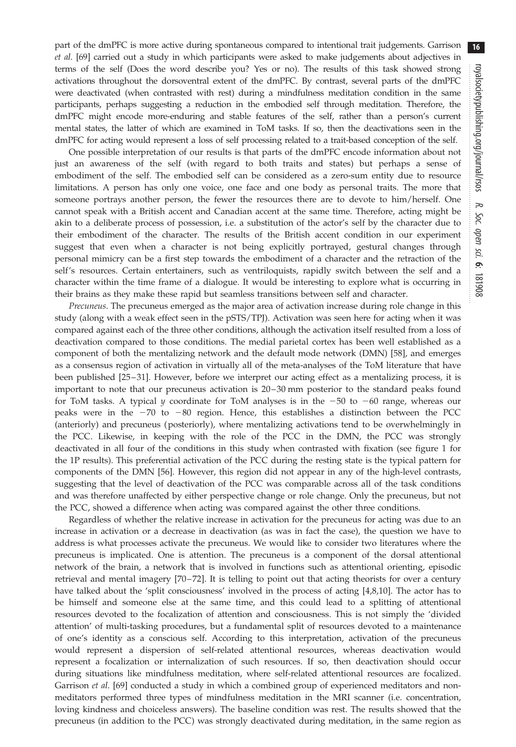16

part of the dmPFC is more active during spontaneous compared to intentional trait judgements. Garrison et al. [[69](#page-19-0)] carried out a study in which participants were asked to make judgements about adjectives in terms of the self (Does the word describe you? Yes or no). The results of this task showed strong activations throughout the dorsoventral extent of the dmPFC. By contrast, several parts of the dmPFC were deactivated (when contrasted with rest) during a mindfulness meditation condition in the same participants, perhaps suggesting a reduction in the embodied self through meditation. Therefore, the dmPFC might encode more-enduring and stable features of the self, rather than a person's current mental states, the latter of which are examined in ToM tasks. If so, then the deactivations seen in the dmPFC for acting would represent a loss of self processing related to a trait-based conception of the self.

One possible interpretation of our results is that parts of the dmPFC encode information about not just an awareness of the self (with regard to both traits and states) but perhaps a sense of embodiment of the self. The embodied self can be considered as a zero-sum entity due to resource limitations. A person has only one voice, one face and one body as personal traits. The more that someone portrays another person, the fewer the resources there are to devote to him/herself. One cannot speak with a British accent and Canadian accent at the same time. Therefore, acting might be akin to a deliberate process of possession, i.e. a substitution of the actor's self by the character due to their embodiment of the character. The results of the British accent condition in our experiment suggest that even when a character is not being explicitly portrayed, gestural changes through personal mimicry can be a first step towards the embodiment of a character and the retraction of the self's resources. Certain entertainers, such as ventriloquists, rapidly switch between the self and a character within the time frame of a dialogue. It would be interesting to explore what is occurring in their brains as they make these rapid but seamless transitions between self and character.

Precuneus. The precuneus emerged as the major area of activation increase during role change in this study (along with a weak effect seen in the pSTS/TPJ). Activation was seen here for acting when it was compared against each of the three other conditions, although the activation itself resulted from a loss of deactivation compared to those conditions. The medial parietal cortex has been well established as a component of both the mentalizing network and the default mode network (DMN) [\[58](#page-18-0)], and emerges as a consensus region of activation in virtually all of the meta-analyses of the ToM literature that have been published [\[25](#page-18-0)– [31](#page-18-0)]. However, before we interpret our acting effect as a mentalizing process, it is important to note that our precuneus activation is 20–30 mm posterior to the standard peaks found for ToM tasks. A typical y coordinate for ToM analyses is in the  $-50$  to  $-60$  range, whereas our peaks were in the  $-70$  to  $-80$  region. Hence, this establishes a distinction between the PCC (anteriorly) and precuneus (posteriorly), where mentalizing activations tend to be overwhelmingly in the PCC. Likewise, in keeping with the role of the PCC in the DMN, the PCC was strongly deactivated in all four of the conditions in this study when contrasted with fixation (see [figure 1](#page-6-0) for the 1P results). This preferential activation of the PCC during the resting state is the typical pattern for components of the DMN [[56\]](#page-18-0). However, this region did not appear in any of the high-level contrasts, suggesting that the level of deactivation of the PCC was comparable across all of the task conditions and was therefore unaffected by either perspective change or role change. Only the precuneus, but not the PCC, showed a difference when acting was compared against the other three conditions.

Regardless of whether the relative increase in activation for the precuneus for acting was due to an increase in activation or a decrease in deactivation (as was in fact the case), the question we have to address is what processes activate the precuneus. We would like to consider two literatures where the precuneus is implicated. One is attention. The precuneus is a component of the dorsal attentional network of the brain, a network that is involved in functions such as attentional orienting, episodic retrieval and mental imagery [\[70](#page-19-0)–[72\]](#page-19-0). It is telling to point out that acting theorists for over a century have talked about the 'split consciousness' involved in the process of acting [[4,8,10](#page-17-0)]. The actor has to be himself and someone else at the same time, and this could lead to a splitting of attentional resources devoted to the focalization of attention and consciousness. This is not simply the 'divided attention' of multi-tasking procedures, but a fundamental split of resources devoted to a maintenance of one's identity as a conscious self. According to this interpretation, activation of the precuneus would represent a dispersion of self-related attentional resources, whereas deactivation would represent a focalization or internalization of such resources. If so, then deactivation should occur during situations like mindfulness meditation, where self-related attentional resources are focalized. Garrison et al. [\[69](#page-19-0)] conducted a study in which a combined group of experienced meditators and nonmeditators performed three types of mindfulness meditation in the MRI scanner (i.e. concentration, loving kindness and choiceless answers). The baseline condition was rest. The results showed that the precuneus (in addition to the PCC) was strongly deactivated during meditation, in the same region as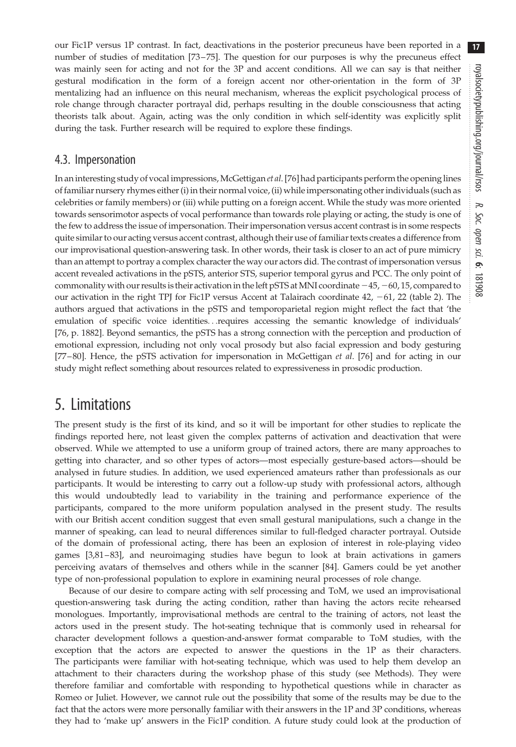our Fic1P versus 1P contrast. In fact, deactivations in the posterior precuneus have been reported in a number of studies of meditation [\[73](#page-19-0) –[75\]](#page-19-0). The question for our purposes is why the precuneus effect was mainly seen for acting and not for the 3P and accent conditions. All we can say is that neither gestural modification in the form of a foreign accent nor other-orientation in the form of 3P mentalizing had an influence on this neural mechanism, whereas the explicit psychological process of role change through character portrayal did, perhaps resulting in the double consciousness that acting theorists talk about. Again, acting was the only condition in which self-identity was explicitly split during the task. Further research will be required to explore these findings.

#### 4.3. Impersonation

In an interesting study of vocal impressions, McGettigan *et al.* [[76\]](#page-19-0) had participants perform the opening lines of familiar nursery rhymes either (i) in their normal voice, (ii) while impersonating other individuals (such as celebrities or family members) or (iii) while putting on a foreign accent. While the study was more oriented towards sensorimotor aspects of vocal performance than towards role playing or acting, the study is one of the few to address the issue of impersonation. Their impersonation versus accent contrast is in some respects quite similar to our acting versus accent contrast, although their use of familiar texts creates a difference from our improvisational question-answering task. In other words, their task is closer to an act of pure mimicry than an attempt to portray a complex character the way our actors did. The contrast of impersonation versus accent revealed activations in the pSTS, anterior STS, superior temporal gyrus and PCC. The only point of commonality with our results is their activation in the left pSTS at MNI coordinate  $-45$ ,  $-60$ , 15, compared to our activation in the right TPJ for Fic1P versus Accent at Talairach coordinate  $42$ ,  $-61$ ,  $22$  [\(table 2\)](#page-10-0). The authors argued that activations in the pSTS and temporoparietal region might reflect the fact that 'the emulation of specific voice identities...requires accessing the semantic knowledge of individuals' [\[76](#page-19-0), p. 1882]. Beyond semantics, the pSTS has a strong connection with the perception and production of emotional expression, including not only vocal prosody but also facial expression and body gesturing [\[77](#page-19-0)-[80](#page-19-0)]. Hence, the pSTS activation for impersonation in McGettigan et al. [\[76](#page-19-0)] and for acting in our study might reflect something about resources related to expressiveness in prosodic production.

## 5. Limitations

The present study is the first of its kind, and so it will be important for other studies to replicate the findings reported here, not least given the complex patterns of activation and deactivation that were observed. While we attempted to use a uniform group of trained actors, there are many approaches to getting into character, and so other types of actors—most especially gesture-based actors—should be analysed in future studies. In addition, we used experienced amateurs rather than professionals as our participants. It would be interesting to carry out a follow-up study with professional actors, although this would undoubtedly lead to variability in the training and performance experience of the participants, compared to the more uniform population analysed in the present study. The results with our British accent condition suggest that even small gestural manipulations, such a change in the manner of speaking, can lead to neural differences similar to full-fledged character portrayal. Outside of the domain of professional acting, there has been an explosion of interest in role-playing video games [\[3,](#page-17-0)[81](#page-19-0) –[83](#page-19-0)], and neuroimaging studies have begun to look at brain activations in gamers perceiving avatars of themselves and others while in the scanner [\[84](#page-19-0)]. Gamers could be yet another type of non-professional population to explore in examining neural processes of role change.

Because of our desire to compare acting with self processing and ToM, we used an improvisational question-answering task during the acting condition, rather than having the actors recite rehearsed monologues. Importantly, improvisational methods are central to the training of actors, not least the actors used in the present study. The hot-seating technique that is commonly used in rehearsal for character development follows a question-and-answer format comparable to ToM studies, with the exception that the actors are expected to answer the questions in the 1P as their characters. The participants were familiar with hot-seating technique, which was used to help them develop an attachment to their characters during the workshop phase of this study (see Methods). They were therefore familiar and comfortable with responding to hypothetical questions while in character as Romeo or Juliet. However, we cannot rule out the possibility that some of the results may be due to the fact that the actors were more personally familiar with their answers in the 1P and 3P conditions, whereas they had to 'make up' answers in the Fic1P condition. A future study could look at the production of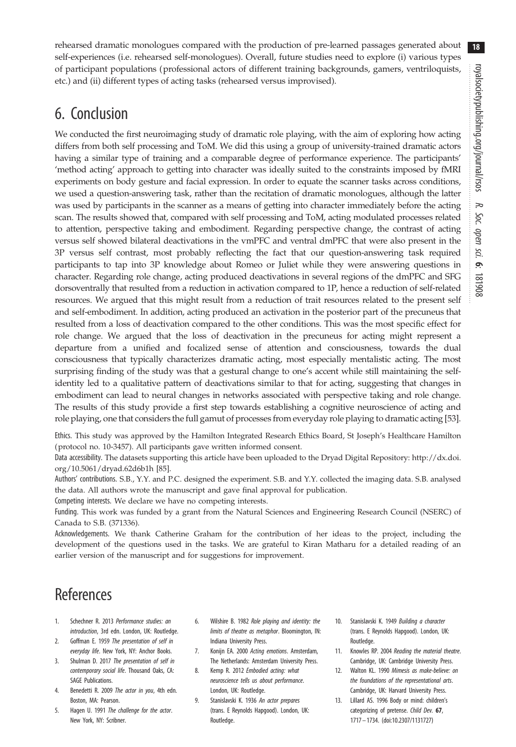<span id="page-17-0"></span>rehearsed dramatic monologues compared with the production of pre-learned passages generated about self-experiences (i.e. rehearsed self-monologues). Overall, future studies need to explore (i) various types of participant populations (professional actors of different training backgrounds, gamers, ventriloquists, etc.) and (ii) different types of acting tasks (rehearsed versus improvised).

# 6. Conclusion

We conducted the first neuroimaging study of dramatic role playing, with the aim of exploring how acting differs from both self processing and ToM. We did this using a group of university-trained dramatic actors having a similar type of training and a comparable degree of performance experience. The participants' 'method acting' approach to getting into character was ideally suited to the constraints imposed by fMRI experiments on body gesture and facial expression. In order to equate the scanner tasks across conditions, we used a question-answering task, rather than the recitation of dramatic monologues, although the latter was used by participants in the scanner as a means of getting into character immediately before the acting scan. The results showed that, compared with self processing and ToM, acting modulated processes related to attention, perspective taking and embodiment. Regarding perspective change, the contrast of acting versus self showed bilateral deactivations in the vmPFC and ventral dmPFC that were also present in the 3P versus self contrast, most probably reflecting the fact that our question-answering task required participants to tap into 3P knowledge about Romeo or Juliet while they were answering questions in character. Regarding role change, acting produced deactivations in several regions of the dmPFC and SFG dorsoventrally that resulted from a reduction in activation compared to 1P, hence a reduction of self-related resources. We argued that this might result from a reduction of trait resources related to the present self and self-embodiment. In addition, acting produced an activation in the posterior part of the precuneus that resulted from a loss of deactivation compared to the other conditions. This was the most specific effect for role change. We argued that the loss of deactivation in the precuneus for acting might represent a departure from a unified and focalized sense of attention and consciousness, towards the dual consciousness that typically characterizes dramatic acting, most especially mentalistic acting. The most surprising finding of the study was that a gestural change to one's accent while still maintaining the selfidentity led to a qualitative pattern of deactivations similar to that for acting, suggesting that changes in embodiment can lead to neural changes in networks associated with perspective taking and role change. The results of this study provide a first step towards establishing a cognitive neuroscience of acting and role playing, one that considers the full gamut of processes from everyday role playing to dramatic acting [[53](#page-18-0)].

Ethics. This study was approved by the Hamilton Integrated Research Ethics Board, St Joseph's Healthcare Hamilton (protocol no. 10-3457). All participants gave written informed consent.

Data accessibility. The datasets supporting this article have been uploaded to the Dryad Digital Repository: [http://dx.doi.](http://dx.doi.org/10.5061/dryad.62d6b1h) [org/10.5061/dryad.62d6b1h](http://dx.doi.org/10.5061/dryad.62d6b1h) [[85\]](#page-19-0).

Authors' contributions. S.B., Y.Y. and P.C. designed the experiment. S.B. and Y.Y. collected the imaging data. S.B. analysed the data. All authors wrote the manuscript and gave final approval for publication.

Competing interests. We declare we have no competing interests.

Funding. This work was funded by a grant from the Natural Sciences and Engineering Research Council (NSERC) of Canada to S.B. (371336).

Acknowledgements. We thank Catherine Graham for the contribution of her ideas to the project, including the development of the questions used in the tasks. We are grateful to Kiran Matharu for a detailed reading of an earlier version of the manuscript and for suggestions for improvement.

## References

- 1. Schechner R. 2013 Performance studies: an introduction, 3rd edn. London, UK: Routledge.
- 2. Goffman E. 1959 The presentation of self in everyday life. New York, NY: Anchor Books.
- 3. Shulman D. 2017 The presentation of self in contemporary social life. Thousand Oaks, CA: SAGE Publications.
- 4. Benedetti R. 2009 The actor in you, 4th edn. Boston, MA: Pearson.
- 5. Hagen U. 1991 The challenge for the actor. New York, NY: Scribner.
- 6. Wilshire B. 1982 Role playing and identity: the limits of theatre as metaphor. Bloomington, IN: Indiana University Press.
- 7. Konijn EA. 2000 Acting emotions. Amsterdam, The Netherlands: Amsterdam University Press.
- 8. Kemp R. 2012 Embodied acting: what neuroscience tells us about performance. London, UK: Routledge.
- 9. Stanislavski K. 1936 An actor prepares (trans. E Reynolds Hapgood). London, UK: Routledge.
- 10. Stanislavski K. 1949 Building a character (trans. E Reynolds Hapgood). London, UK: Routledge.
- 11. Knowles RP. 2004 Reading the material theatre. Cambridge, UK: Cambridge University Press.
- 12. Walton KL. 1990 Mimesis as make-believe: on the foundations of the representational arts. Cambridge, UK: Harvard University Press.
- 13. Lillard AS. 1996 Body or mind: children's categorizing of pretense. Child Dev. 67, 1717 – 1734. [\(doi:10.2307/1131727\)](http://dx.doi.org/10.2307/1131727)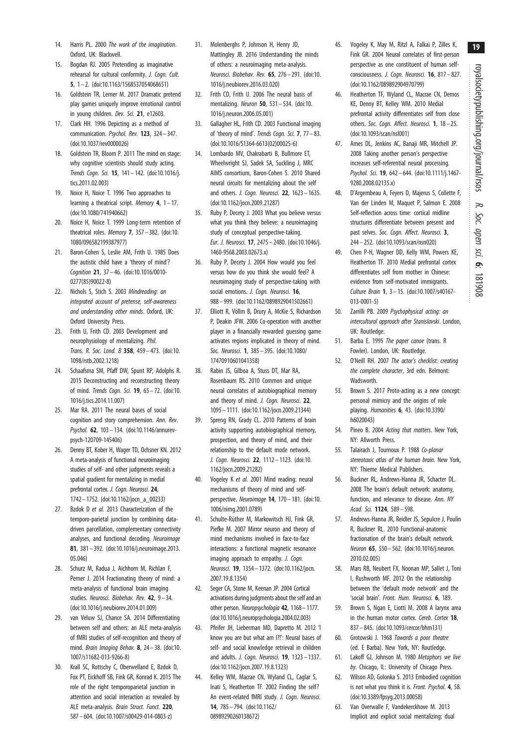royalsocietypublishing.org/journal/rsos royalsocietypublishing.org/journal/rsos R. Soc. open sci. 6:181908

- <span id="page-18-0"></span>14. Harris PL. 2000 The work of the imagination. Oxford, UK: Blackwell.
- 15. Bogdan RJ. 2005 Pretending as imaginative rehearsal for cultural conformity. J. Cogn. Cult. 5, 1 – 2. ([doi:10.1163/1568537054068651\)](http://dx.doi.org/10.1163/1568537054068651)
- 16. Goldstein TR, Lerner M. 2017 Dramatic pretend play games uniquely improve emotional control in young children. Dev. Sci. 21, e12603.
- 17. Clark HH. 1996 Depicting as a method of communication. Psychol. Rev. 123, 324– 347. ([doi:10.1037/rev0000026](http://dx.doi.org/10.1037/rev0000026))
- 18. Goldstein TR, Bloom P. 2011 The mind on stage: why cognitive scientists should study acting. Trends Cogn. Sci. 15, 141– 142. ([doi:10.1016/j.](http://dx.doi.org/10.1016/j.tics.2011.02.003) [tics.2011.02.003](http://dx.doi.org/10.1016/j.tics.2011.02.003))
- 19. Noice H, Noice T. 1996 Two approaches to learning a theatrical script. Memory  $4$ ,  $1-17$ . ([doi:10.1080/741940662](http://dx.doi.org/10.1080/741940662))
- 20. Noice H, Noice T. 1999 Long-term retention of theatrical roles. Memory 7, 357-382. [\(doi:10.](http://dx.doi.org/10.1080/096582199387977) [1080/096582199387977\)](http://dx.doi.org/10.1080/096582199387977)
- 21. Baron-Cohen S, Leslie AM, Frith U. 1985 Does the autistic child have a 'theory of mind'? Cognition 21, 37 – 46. [\(doi:10.1016/0010-](http://dx.doi.org/10.1016/0010-0277(85)90022-8) [0277\(85\)90022-8\)](http://dx.doi.org/10.1016/0010-0277(85)90022-8)
- 22. Nichols S, Stich S. 2003 Mindreading: an integrated account of pretense, self-awareness and understanding other minds. Oxford, UK: Oxford University Press.
- 23. Frith U, Frith CD. 2003 Development and neurophysiology of mentalizing. Phil. Trans. R. Soc. Lond. B 358, 459– 473. [\(doi:10.](http://dx.doi.org/10.1098/rstb.2002.1218) [1098/rstb.2002.1218](http://dx.doi.org/10.1098/rstb.2002.1218))
- 24. Schaafsma SM, Pfaff DW, Spunt RP, Adolphs R. 2015 Deconstructing and reconstructing theory of mind. Trends Cogn. Sci. 19, 65 – 72. [\(doi:10.](http://dx.doi.org/10.1016/j.tics.2014.11.007) [1016/j.tics.2014.11.007](http://dx.doi.org/10.1016/j.tics.2014.11.007))
- 25. Mar RA. 2011 The neural bases of social cognition and story comprehension. Ann. Rev. Psychol. 62, 103– 134. [\(doi:10.1146/annurev](http://dx.doi.org/10.1146/annurev-psych-120709-145406)[psych-120709-145406\)](http://dx.doi.org/10.1146/annurev-psych-120709-145406)
- 26. Denny BT, Kober H, Wager TD, Ochsner KN. 2012 A meta-analysis of functional neuroimaging studies of self- and other judgments reveals a spatial gradient for mentalizing in medial prefrontal cortex. J. Cogn. Neurosci. 24, 1742– 1752. ([doi:10.1162/jocn\\_a\\_00233](http://dx.doi.org/10.1162/jocn_a_00233))
- 27. Bzdok D et al. 2013 Characterization of the temporo-parietal junction by combining datadriven parcellation, complementary connectivity analyses, and functional decoding. Neuroimage 81, 381– 392. [\(doi:10.1016/j.neuroimage.2013.](http://dx.doi.org/10.1016/j.neuroimage.2013.05.046) [05.046\)](http://dx.doi.org/10.1016/j.neuroimage.2013.05.046)
- 28. Schurz M, Radua J, Aichhorn M, Richlan F, Perner J. 2014 Fractionating theory of mind: a meta-analysis of functional brain imaging studies. Neurosci. Biobehav. Rev. 42, 9-34. ([doi:10.1016/j.neubiorev.2014.01.009\)](http://dx.doi.org/10.1016/j.neubiorev.2014.01.009)
- 29. van Veluw SJ, Chance SA. 2014 Differentiating between self and others: an ALE meta-analysis of fMRI studies of self-recognition and theory of mind. Brain Imaging Behav. 8, 24 – 38. [\(doi:10.](http://dx.doi.org/10.1007/s11682-013-9266-8) [1007/s11682-013-9266-8](http://dx.doi.org/10.1007/s11682-013-9266-8))
- 30. Krall SC, Rottschy C, Oberwelland E, Bzdok D, Fox PT, Eickhoff SB, Fink GR, Konrad K. 2015 The role of the right temporoparietal junction in attention and social interaction as revealed by ALE meta-analysis. Brain Struct. Funct. 220, 587– 604. ([doi:10.1007/s00429-014-0803-z](http://dx.doi.org/10.1007/s00429-014-0803-z))
- 31. Molenberghs P, Johnson H, Henry JD, Mattingley JB. 2016 Understanding the minds of others: a neuroimaging meta-analysis. Neurosci. Biobehav. Rev. 65, 276 – 291. [\(doi:10.](http://dx.doi.org/10.1016/j.neubiorev.2016.03.020) [1016/j.neubiorev.2016.03.020](http://dx.doi.org/10.1016/j.neubiorev.2016.03.020))
- 32. Frith CD, Frith U. 2006 The neural basis of mentalizing. Neuron 50, 531– 534. ([doi:10.](http://dx.doi.org/10.1016/j.neuron.2006.05.001) [1016/j.neuron.2006.05.001\)](http://dx.doi.org/10.1016/j.neuron.2006.05.001)
- 33. Gallagher HL, Frith CD. 2003 Functional imaging of 'theory of mind'. Trends Cogn. Sci. 7, 77– 83. ([doi:10.1016/S1364-6613\(02\)00025-6](http://dx.doi.org/10.1016/S1364-6613(02)00025-6))
- 34. Lombardo MV, Chakrabarti B, Bullmore ET, Wheelwright SJ, Sadek SA, Suckling J, MRC AIMS consortium, Baron-Cohen S. 2010 Shared neural circuits for mentalizing about the self and others. *J. Cogn. Neurosci*. **22**, 1623 - 1635. ([doi:10.1162/jocn.2009.21287](http://dx.doi.org/10.1162/jocn.2009.21287))
- 35. Ruby P, Decety J. 2003 What you believe versus what you think they believe: a neuroimaging study of conceptual perspective-taking. Eur. J. Neurosci. 17, 2475 – 2480. [\(doi:10.1046/j.](http://dx.doi.org/10.1046/j.1460-9568.2003.02673.x) [1460-9568.2003.02673.x](http://dx.doi.org/10.1046/j.1460-9568.2003.02673.x))
- 36. Ruby P, Decety J. 2004 How would you feel versus how do you think she would feel? A neuroimaging study of perspective-taking with social emotions. J. Cogn. Neurosci. 16, 988– 999. ([doi:10.1162/0898929041502661\)](http://dx.doi.org/10.1162/0898929041502661)
- 37. Elliott R, Völlm B, Drury A, McKie S, Richardson P, Deakin JFW. 2006 Co-operation with another player in a financially rewarded guessing game activates regions implicated in theory of mind. Soc. Neurosci. **1**, 385-395. ([doi:10.1080/](http://dx.doi.org/10.1080/17470910601041358) [17470910601041358\)](http://dx.doi.org/10.1080/17470910601041358)
- 38. Rabin JS, Gilboa A, Stuss DT, Mar RA, Rosenbaum RS. 2010 Common and unique neural correlates of autobiographical memory and theory of mind. J. Cogn. Neurosci. 22, 1095 – 1111. [\(doi:10.1162/jocn.2009.21344\)](http://dx.doi.org/10.1162/jocn.2009.21344)
- 39. Spreng RN, Grady CL. 2010 Patterns of brain activity supporting autobiographical memory, prospection, and theory of mind, and their relationship to the default mode network. J. Cogn. Neurosci. 22, 1112-1123. ([doi:10.](http://dx.doi.org/10.1162/jocn.2009.21282) [1162/jocn.2009.21282\)](http://dx.doi.org/10.1162/jocn.2009.21282)
- 40. Vogeley K et al. 2001 Mind reading: neural mechanisms of theory of mind and selfperspective. Neuroimage 14, 170– 181. [\(doi:10.](http://dx.doi.org/10.1006/nimg.2001.0789) [1006/nimg.2001.0789](http://dx.doi.org/10.1006/nimg.2001.0789))
- 41. Schulte-Rüther M, Markowitsch HJ, Fink GR, Piefke M. 2007 Mirror neuron and theory of mind mechanisms involved in face-to-face interactions: a functional magnetic resonance imaging approach to empathy. *J. Cogn.* Neurosci. 19, 1354 – 1372. [\(doi:10.1162/jocn.](http://dx.doi.org/10.1162/jocn.2007.19.8.1354) [2007.19.8.1354\)](http://dx.doi.org/10.1162/jocn.2007.19.8.1354)
- 42. Seger CA, Stone M, Keenan JP. 2004 Cortical activations during judgments about the self and an other person. Neuropsychologia 42, 1168–1177. ([doi:10.1016/j.neuropsychologia.2004.02.003](http://dx.doi.org/10.1016/j.neuropsychologia.2004.02.003))
- 43. Pfeifer JH, Lieberman MD, Dapretto M. 2012 'I know you are but what am I?!': Neural bases of self- and social knowledge retrieval in children and adults. *J. Cogn. Neurosci*. **19**, 1323 - 1337. ([doi:10.1162/jocn.2007.19.8.1323\)](http://dx.doi.org/10.1162/jocn.2007.19.8.1323)
- 44. Kelley WM, Macrae CN, Wyland CL, Caglar S, Inati S, Heatherton TF. 2002 Finding the self? An event-related fMRI study. J. Cogn. Neurosci. 14, 785– 794. ([doi:10.1162/](http://dx.doi.org/10.1162/08989290260138672) [08989290260138672\)](http://dx.doi.org/10.1162/08989290260138672)
- 45. Vogeley K, May M, Ritzl A, Falkai P, Zilles K, Fink GR. 2004 Neural correlates of first-person perspective as one constituent of human selfconsciousness. J. Cogn. Neurosci. 16, 817-827. [\(doi:10.1162/089892904970799\)](http://dx.doi.org/10.1162/089892904970799)
- 46. Heatherton TF, Wyland CL, Macrae CN, Demos KE, Denny BT, Kelley WM. 2010 Medial prefrontal activity differentiates self from close others. Soc. Cogn. Affect. Neurosci. 1, 18-25. [\(doi:10.1093/scan/nsl001](http://dx.doi.org/10.1093/scan/nsl001))
- 47. Ames DL, Jenkins AC, Banaji MR, Mitchell JP. 2008 Taking another person's perspective increases self-referential neural processing. Psychol. Sci. 19, 642– 644. ([doi:10.1111/j.1467-](http://dx.doi.org/10.1111/j.1467-9280.2008.02135.x) [9280.2008.02135.x\)](http://dx.doi.org/10.1111/j.1467-9280.2008.02135.x)
- 48. D'Argembeau A, Feyers D, Majerus S, Collette F, Van der Linden M, Maquet P, Salmon E. 2008 Self-reflection across time: cortical midline structures differentiate between present and past selves. Soc. Cogn. Affect. Neurosci. 3, 244– 252. [\(doi:10.1093/scan/nsn020\)](http://dx.doi.org/10.1093/scan/nsn020)
- 49. Chen P-H, Wagner DD, Kelly WM, Powers KE, Heatherton TF. 2010 Medial prefrontal cortex differentiates self from mother in Chinese: evidence from self-motivated immigrants. Culture Brain 1, 3 – 15. ([doi:10.1007/s40167-](http://dx.doi.org/10.1007/s40167-013-0001-5) [013-0001-5](http://dx.doi.org/10.1007/s40167-013-0001-5))
- 50. Zarrilli PB. 2009 Psychophysical acting: an intercultural approach after Stanislavski. London, UK: Routledge.
- 51. Barba E. 1995 The paper canoe (trans. R Fowler). London, UK: Routledge.
- 52. O'Neill RH. 2007 The actor's checklist: creating the complete character, 3rd edn. Belmont: Wadsworth.
- 53. Brown S. 2017 Proto-acting as a new concept: personal mimicry and the origins of role playing. Humanities 6, 43. ([doi:10.3390/](http://dx.doi.org/10.3390/h6020043) [h6020043](http://dx.doi.org/10.3390/h6020043))
- 54. Pineo B. 2004 Acting that matters. New York, NY: Allworth Press.
- 55. Talairach J, Tournoux P. 1988 Co-planar stereotaxic atlas of the human brain. New York, NY: Thieme Medical Publishers.
- 56. Buckner RL, Andrews-Hanna JR, Schacter DL. 2008 The brain's default network: anatomy, function, and relevance to disease. Ann. NY Acad. Sci. 1124, 589– 598.
- 57. Andrews-Hanna JR, Reidler JS, Sepulcre J, Poulin R, Buckner RL. 2010 Functional-anatomic fractionation of the brain's default network. Neuron 65, 550– 562. [\(doi:10.1016/j.neuron.](http://dx.doi.org/10.1016/j.neuron.2010.02.005) [2010.02.005\)](http://dx.doi.org/10.1016/j.neuron.2010.02.005)
- 58. Mars RB, Neubert FX, Noonan MP, Sallet J, Toni I, Rushworth MF. 2012 On the relationship between the 'default mode network' and the 'social brain'. Front. Hum. Neurosci. 6, 189.
- 59. Brown S, Ngan E, Liotti M. 2008 A larynx area in the human motor cortex. Cereb. Cortex 18, 837– 845. [\(doi:10.1093/cercor/bhm131\)](http://dx.doi.org/10.1093/cercor/bhm131)
- 60. Grotowski J. 1968 Towards a poor theatre (ed. E Barba). New York, NY: Routledge.
- 61. Lakoff GJ, Johnson M. 1980 Metaphors we live by. Chicago, IL: University of Chicago Press.
- 62. Wilson AD, Golonka S. 2013 Embodied cognition is not what you think it is. Front. Psychol. 4, 58. [\(doi:10.3389/fpsyg.2013.00058\)](http://dx.doi.org/10.3389/fpsyg.2013.00058)
- 63. Van Overwalle F, Vandekerckhove M. 2013 Implicit and explicit social mentalizing: dual